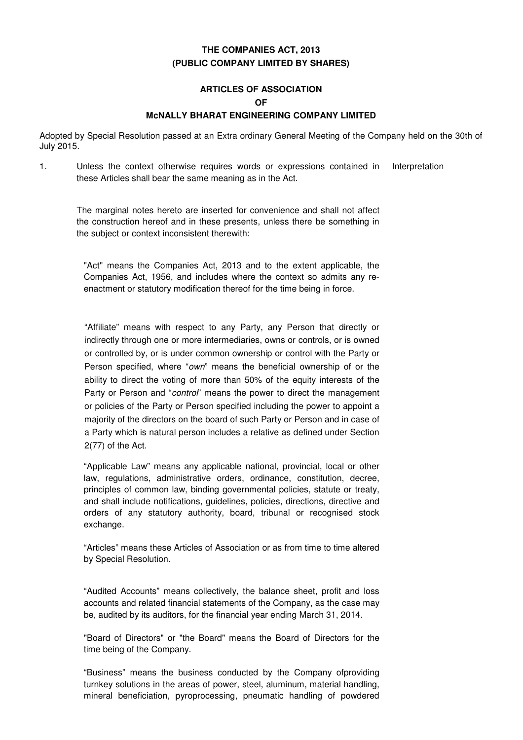## **THE COMPANIES ACT, 2013 (PUBLIC COMPANY LIMITED BY SHARES)**

# **ARTICLES OF ASSOCIATION OF**

### **McNALLY BHARAT ENGINEERING COMPANY LIMITED**

Adopted by Special Resolution passed at an Extra ordinary General Meeting of the Company held on the 30th of July 2015.

1. Unless the context otherwise requires words or expressions contained in these Articles shall bear the same meaning as in the Act. Interpretation

The marginal notes hereto are inserted for convenience and shall not affect the construction hereof and in these presents, unless there be something in the subject or context inconsistent therewith:

"Act" means the Companies Act, 2013 and to the extent applicable, the Companies Act, 1956, and includes where the context so admits any reenactment or statutory modification thereof for the time being in force.

"Affiliate" means with respect to any Party, any Person that directly or indirectly through one or more intermediaries, owns or controls, or is owned or controlled by, or is under common ownership or control with the Party or Person specified, where "own" means the beneficial ownership of or the ability to direct the voting of more than 50% of the equity interests of the Party or Person and "control" means the power to direct the management or policies of the Party or Person specified including the power to appoint a majority of the directors on the board of such Party or Person and in case of a Party which is natural person includes a relative as defined under Section 2(77) of the Act.

"Applicable Law" means any applicable national, provincial, local or other law, regulations, administrative orders, ordinance, constitution, decree, principles of common law, binding governmental policies, statute or treaty, and shall include notifications, guidelines, policies, directions, directive and orders of any statutory authority, board, tribunal or recognised stock exchange.

"Articles" means these Articles of Association or as from time to time altered by Special Resolution.

"Audited Accounts" means collectively, the balance sheet, profit and loss accounts and related financial statements of the Company, as the case may be, audited by its auditors, for the financial year ending March 31, 2014.

"Board of Directors" or "the Board" means the Board of Directors for the time being of the Company.

"Business" means the business conducted by the Company ofproviding turnkey solutions in the areas of power, steel, aluminum, material handling, mineral beneficiation, pyroprocessing, pneumatic handling of powdered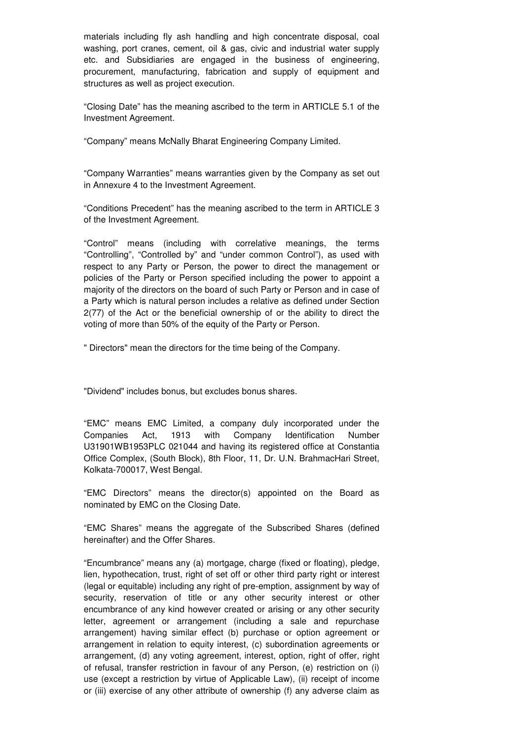materials including fly ash handling and high concentrate disposal, coal washing, port cranes, cement, oil & gas, civic and industrial water supply etc. and Subsidiaries are engaged in the business of engineering, procurement, manufacturing, fabrication and supply of equipment and structures as well as project execution.

"Closing Date" has the meaning ascribed to the term in ARTICLE 5.1 of the Investment Agreement.

"Company" means McNally Bharat Engineering Company Limited.

"Company Warranties" means warranties given by the Company as set out in Annexure 4 to the Investment Agreement.

"Conditions Precedent" has the meaning ascribed to the term in ARTICLE 3 of the Investment Agreement.

"Control" means (including with correlative meanings, the terms "Controlling", "Controlled by" and "under common Control"), as used with respect to any Party or Person, the power to direct the management or policies of the Party or Person specified including the power to appoint a majority of the directors on the board of such Party or Person and in case of a Party which is natural person includes a relative as defined under Section 2(77) of the Act or the beneficial ownership of or the ability to direct the voting of more than 50% of the equity of the Party or Person.

" Directors" mean the directors for the time being of the Company.

"Dividend" includes bonus, but excludes bonus shares.

"EMC" means EMC Limited, a company duly incorporated under the Companies Act, 1913 with Company Identification Number U31901WB1953PLC 021044 and having its registered office at Constantia Office Complex, (South Block), 8th Floor, 11, Dr. U.N. BrahmacHari Street, Kolkata-700017, West Bengal.

"EMC Directors" means the director(s) appointed on the Board as nominated by EMC on the Closing Date.

"EMC Shares" means the aggregate of the Subscribed Shares (defined hereinafter) and the Offer Shares.

"Encumbrance" means any (a) mortgage, charge (fixed or floating), pledge, lien, hypothecation, trust, right of set off or other third party right or interest (legal or equitable) including any right of pre-emption, assignment by way of security, reservation of title or any other security interest or other encumbrance of any kind however created or arising or any other security letter, agreement or arrangement (including a sale and repurchase arrangement) having similar effect (b) purchase or option agreement or arrangement in relation to equity interest, (c) subordination agreements or arrangement, (d) any voting agreement, interest, option, right of offer, right of refusal, transfer restriction in favour of any Person, (e) restriction on (i) use (except a restriction by virtue of Applicable Law), (ii) receipt of income or (iii) exercise of any other attribute of ownership (f) any adverse claim as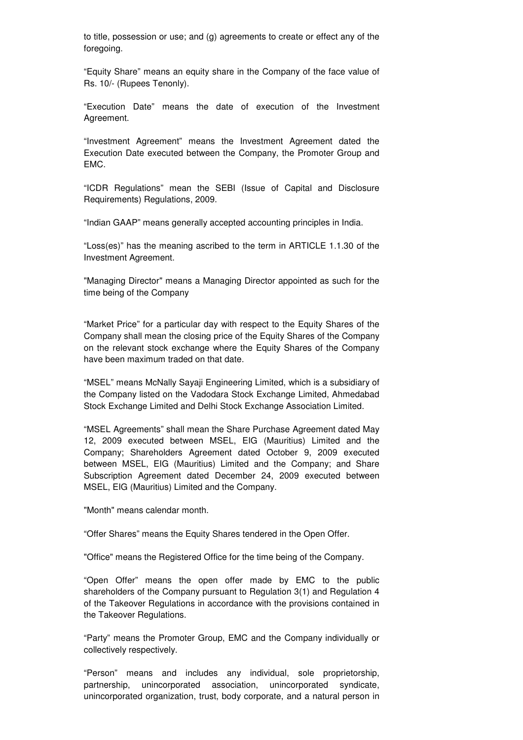to title, possession or use; and (g) agreements to create or effect any of the foregoing.

"Equity Share" means an equity share in the Company of the face value of Rs. 10/- (Rupees Tenonly).

"Execution Date" means the date of execution of the Investment Agreement.

"Investment Agreement" means the Investment Agreement dated the Execution Date executed between the Company, the Promoter Group and EMC.

"ICDR Regulations" mean the SEBI (Issue of Capital and Disclosure Requirements) Regulations, 2009.

"Indian GAAP" means generally accepted accounting principles in India.

"Loss(es)" has the meaning ascribed to the term in ARTICLE 1.1.30 of the Investment Agreement.

"Managing Director" means a Managing Director appointed as such for the time being of the Company

"Market Price" for a particular day with respect to the Equity Shares of the Company shall mean the closing price of the Equity Shares of the Company on the relevant stock exchange where the Equity Shares of the Company have been maximum traded on that date.

"MSEL" means McNally Sayaji Engineering Limited, which is a subsidiary of the Company listed on the Vadodara Stock Exchange Limited, Ahmedabad Stock Exchange Limited and Delhi Stock Exchange Association Limited.

"MSEL Agreements" shall mean the Share Purchase Agreement dated May 12, 2009 executed between MSEL, EIG (Mauritius) Limited and the Company; Shareholders Agreement dated October 9, 2009 executed between MSEL, EIG (Mauritius) Limited and the Company; and Share Subscription Agreement dated December 24, 2009 executed between MSEL, EIG (Mauritius) Limited and the Company.

"Month" means calendar month.

"Offer Shares" means the Equity Shares tendered in the Open Offer.

"Office" means the Registered Office for the time being of the Company.

"Open Offer" means the open offer made by EMC to the public shareholders of the Company pursuant to Regulation 3(1) and Regulation 4 of the Takeover Regulations in accordance with the provisions contained in the Takeover Regulations.

"Party" means the Promoter Group, EMC and the Company individually or collectively respectively.

"Person" means and includes any individual, sole proprietorship, partnership, unincorporated association, unincorporated syndicate, unincorporated organization, trust, body corporate, and a natural person in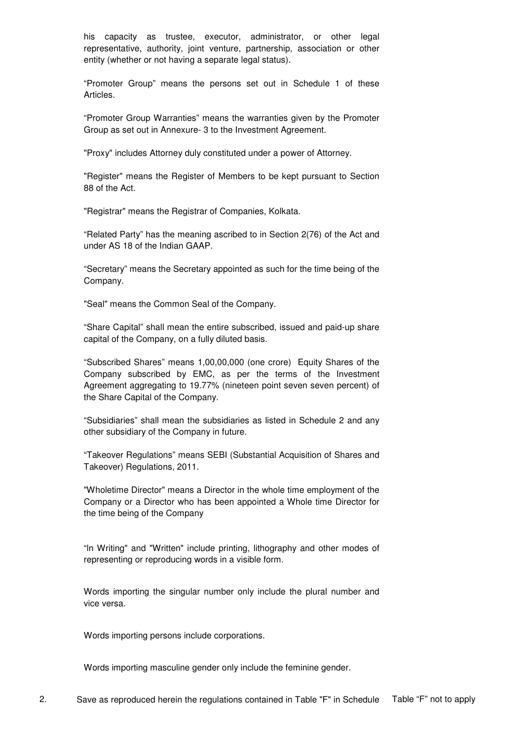his capacity as trustee, executor, administrator, or other legal representative, authority, joint venture, partnership, association or other entity (whether or not having a separate legal status).

"Promoter Group" means the persons set out in Schedule 1 of these Articles.

"Promoter Group Warranties" means the warranties given by the Promoter Group as set out in Annexure- 3 to the Investment Agreement.

"Proxy" includes Attorney duly constituted under a power of Attorney.

"Register" means the Register of Members to be kept pursuant to Section 88 of the Act.

"Registrar" means the Registrar of Companies, Kolkata.

"Related Party" has the meaning ascribed to in Section 2(76) of the Act and under AS 18 of the Indian GAAP.

"Secretary" means the Secretary appointed as such for the time being of the Company.

"Seal" means the Common Seal of the Company.

"Share Capital" shall mean the entire subscribed, issued and paid-up share capital of the Company, on a fully diluted basis.

"Subscribed Shares" means 1,00,00,000 (one crore) Equity Shares of the Company subscribed by EMC, as per the terms of the Investment Agreement aggregating to 19.77% (nineteen point seven seven percent) of the Share Capital of the Company.

"Subsidiaries" shall mean the subsidiaries as listed in Schedule 2 and any other subsidiary of the Company in future.

"Takeover Regulations" means SEBI (Substantial Acquisition of Shares and Takeover) Regulations, 2011.

"Wholetime Director" means a Director in the whole time employment of the Company or a Director who has been appointed a Whole time Director for the time being of the Company

"ln Writing" and "Written" include printing, lithography and other modes of representing or reproducing words in a visible form.

Words importing the singular number only include the plural number and vice versa.

Words importing persons include corporations.

Words importing masculine gender only include the feminine gender.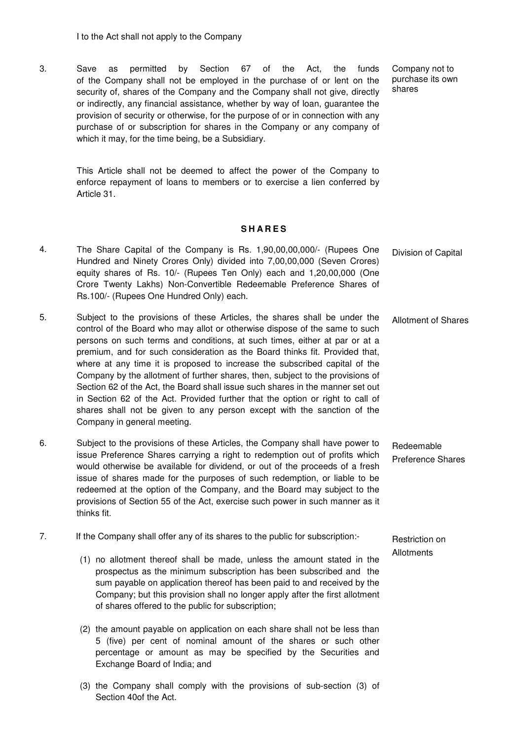3. Save as permitted by Section 67 of the Act, the funds of the Company shall not be employed in the purchase of or lent on the security of, shares of the Company and the Company shall not give, directly or indirectly, any financial assistance, whether by way of loan, guarantee the provision of security or otherwise, for the purpose of or in connection with any purchase of or subscription for shares in the Company or any company of which it may, for the time being, be a Subsidiary.

Company not to purchase its own shares

This Article shall not be deemed to affect the power of the Company to enforce repayment of loans to members or to exercise a lien conferred by Article 31.

### **S H A R E S**

- 4. The Share Capital of the Company is Rs. 1,90,00,00,000/- (Rupees One Hundred and Ninety Crores Only) divided into 7,00,00,000 (Seven Crores) equity shares of Rs. 10/- (Rupees Ten Only) each and 1,20,00,000 (One Crore Twenty Lakhs) Non-Convertible Redeemable Preference Shares of Rs.100/- (Rupees One Hundred Only) each. Division of Capital
- 5. Subject to the provisions of these Articles, the shares shall be under the control of the Board who may allot or otherwise dispose of the same to such persons on such terms and conditions, at such times, either at par or at a premium, and for such consideration as the Board thinks fit. Provided that, where at any time it is proposed to increase the subscribed capital of the Company by the allotment of further shares, then, subject to the provisions of Section 62 of the Act, the Board shall issue such shares in the manner set out in Section 62 of the Act. Provided further that the option or right to call of shares shall not be given to any person except with the sanction of the Company in general meeting. Allotment of Shares
- 6. Subject to the provisions of these Articles, the Company shall have power to issue Preference Shares carrying a right to redemption out of profits which would otherwise be available for dividend, or out of the proceeds of a fresh issue of shares made for the purposes of such redemption, or liable to be redeemed at the option of the Company, and the Board may subject to the provisions of Section 55 of the Act, exercise such power in such manner as it thinks fit. Redeemable Preference Shares
- 7. If the Company shall offer any of its shares to the public for subscription:-
	- (1) no allotment thereof shall be made, unless the amount stated in the prospectus as the minimum subscription has been subscribed and the sum payable on application thereof has been paid to and received by the Company; but this provision shall no longer apply after the first allotment of shares offered to the public for subscription;
	- (2) the amount payable on application on each share shall not be less than 5 (five) per cent of nominal amount of the shares or such other percentage or amount as may be specified by the Securities and Exchange Board of India; and
	- (3) the Company shall comply with the provisions of sub-section (3) of Section 40of the Act.

Restriction on Allotments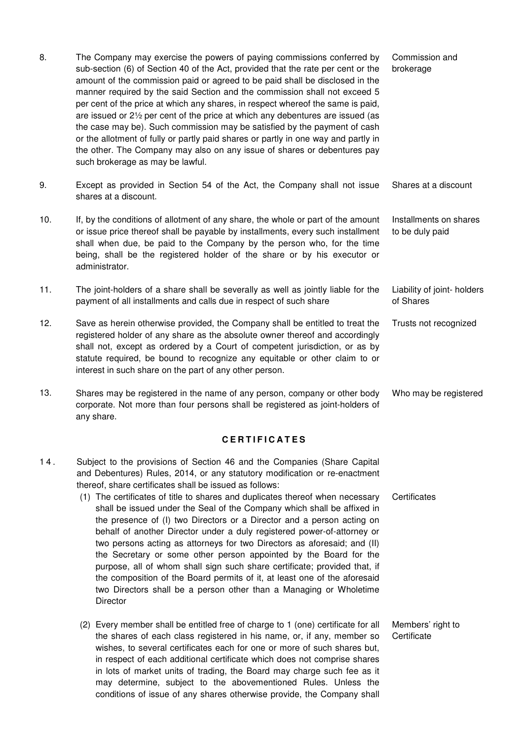| 8.  | The Company may exercise the powers of paying commissions conferred by<br>sub-section (6) of Section 40 of the Act, provided that the rate per cent or the<br>amount of the commission paid or agreed to be paid shall be disclosed in the<br>manner required by the said Section and the commission shall not exceed 5<br>per cent of the price at which any shares, in respect whereof the same is paid,<br>are issued or $2\frac{1}{2}$ per cent of the price at which any debentures are issued (as<br>the case may be). Such commission may be satisfied by the payment of cash<br>or the allotment of fully or partly paid shares or partly in one way and partly in<br>the other. The Company may also on any issue of shares or debentures pay<br>such brokerage as may be lawful. | Commission and<br>brokerage               |
|-----|--------------------------------------------------------------------------------------------------------------------------------------------------------------------------------------------------------------------------------------------------------------------------------------------------------------------------------------------------------------------------------------------------------------------------------------------------------------------------------------------------------------------------------------------------------------------------------------------------------------------------------------------------------------------------------------------------------------------------------------------------------------------------------------------|-------------------------------------------|
| 9.  | Except as provided in Section 54 of the Act, the Company shall not issue<br>shares at a discount.                                                                                                                                                                                                                                                                                                                                                                                                                                                                                                                                                                                                                                                                                          | Shares at a discount                      |
| 10. | If, by the conditions of allotment of any share, the whole or part of the amount<br>or issue price thereof shall be payable by installments, every such installment<br>shall when due, be paid to the Company by the person who, for the time<br>being, shall be the registered holder of the share or by his executor or<br>administrator.                                                                                                                                                                                                                                                                                                                                                                                                                                                | Installments on shares<br>to be duly paid |
| 11. | The joint-holders of a share shall be severally as well as jointly liable for the<br>payment of all installments and calls due in respect of such share                                                                                                                                                                                                                                                                                                                                                                                                                                                                                                                                                                                                                                    | Liability of joint- holders<br>of Shares  |
| 12. | Save as herein otherwise provided, the Company shall be entitled to treat the<br>registered holder of any share as the absolute owner thereof and accordingly<br>shall not, except as ordered by a Court of competent jurisdiction, or as by<br>statute required, be bound to recognize any equitable or other claim to or<br>interest in such share on the part of any other person.                                                                                                                                                                                                                                                                                                                                                                                                      | Trusts not recognized                     |
| 13. | Shares may be registered in the name of any person, company or other body<br>corporate. Not more than four persons shall be registered as joint-holders of                                                                                                                                                                                                                                                                                                                                                                                                                                                                                                                                                                                                                                 | Who may be registered                     |

### **C E R T I F I C A T E S**

1 4 . Subject to the provisions of Section 46 and the Companies (Share Capital and Debentures) Rules, 2014, or any statutory modification or re-enactment thereof, share certificates shall be issued as follows:

any share.

- (1) The certificates of title to shares and duplicates thereof when necessary shall be issued under the Seal of the Company which shall be affixed in the presence of (I) two Directors or a Director and a person acting on behalf of another Director under a duly registered power-of-attorney or two persons acting as attorneys for two Directors as aforesaid; and (II) the Secretary or some other person appointed by the Board for the purpose, all of whom shall sign such share certificate; provided that, if the composition of the Board permits of it, at least one of the aforesaid two Directors shall be a person other than a Managing or Wholetime **Director Certificates**
- (2) Every member shall be entitled free of charge to 1 (one) certificate for all the shares of each class registered in his name, or, if any, member so wishes, to several certificates each for one or more of such shares but, in respect of each additional certificate which does not comprise shares in lots of market units of trading, the Board may charge such fee as it may determine, subject to the abovementioned Rules. Unless the conditions of issue of any shares otherwise provide, the Company shall Members' right to **Certificate**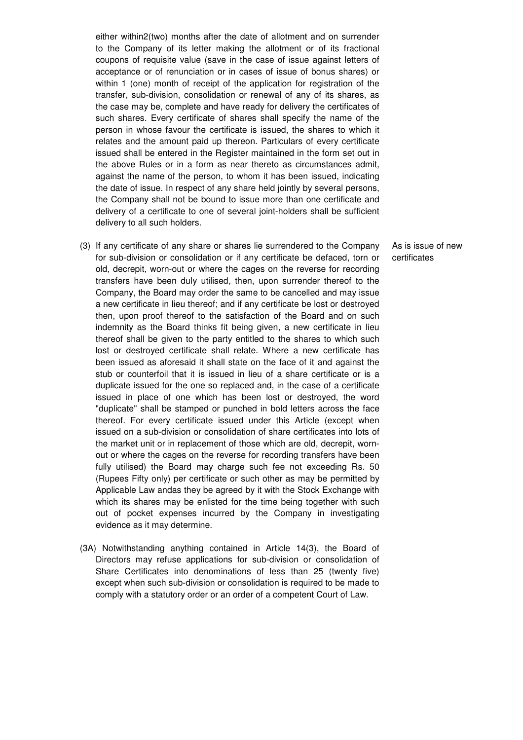either within2(two) months after the date of allotment and on surrender to the Company of its letter making the allotment or of its fractional coupons of requisite value (save in the case of issue against letters of acceptance or of renunciation or in cases of issue of bonus shares) or within 1 (one) month of receipt of the application for registration of the transfer, sub-division, consolidation or renewal of any of its shares, as the case may be, complete and have ready for delivery the certificates of such shares. Every certificate of shares shall specify the name of the person in whose favour the certificate is issued, the shares to which it relates and the amount paid up thereon. Particulars of every certificate issued shall be entered in the Register maintained in the form set out in the above Rules or in a form as near thereto as circumstances admit, against the name of the person, to whom it has been issued, indicating the date of issue. In respect of any share held jointly by several persons, the Company shall not be bound to issue more than one certificate and delivery of a certificate to one of several joint-holders shall be sufficient delivery to all such holders.

- (3) If any certificate of any share or shares lie surrendered to the Company for sub-division or consolidation or if any certificate be defaced, torn or old, decrepit, worn-out or where the cages on the reverse for recording transfers have been duly utilised, then, upon surrender thereof to the Company, the Board may order the same to be cancelled and may issue a new certificate in lieu thereof; and if any certificate be lost or destroyed then, upon proof thereof to the satisfaction of the Board and on such indemnity as the Board thinks fit being given, a new certificate in lieu thereof shall be given to the party entitled to the shares to which such lost or destroyed certificate shall relate. Where a new certificate has been issued as aforesaid it shall state on the face of it and against the stub or counterfoil that it is issued in lieu of a share certificate or is a duplicate issued for the one so replaced and, in the case of a certificate issued in place of one which has been lost or destroyed, the word "duplicate" shall be stamped or punched in bold letters across the face thereof. For every certificate issued under this Article (except when issued on a sub-division or consolidation of share certificates into lots of the market unit or in replacement of those which are old, decrepit, wornout or where the cages on the reverse for recording transfers have been fully utilised) the Board may charge such fee not exceeding Rs. 50 (Rupees Fifty only) per certificate or such other as may be permitted by Applicable Law andas they be agreed by it with the Stock Exchange with which its shares may be enlisted for the time being together with such out of pocket expenses incurred by the Company in investigating evidence as it may determine.
- (3A) Notwithstanding anything contained in Article 14(3), the Board of Directors may refuse applications for sub-division or consolidation of Share Certificates into denominations of less than 25 (twenty five) except when such sub-division or consolidation is required to be made to comply with a statutory order or an order of a competent Court of Law.

As is issue of new certificates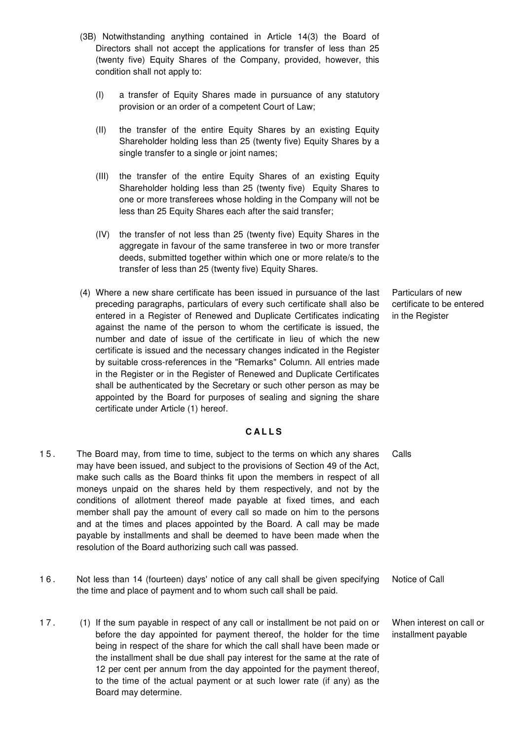- (3B) Notwithstanding anything contained in Article 14(3) the Board of Directors shall not accept the applications for transfer of less than 25 (twenty five) Equity Shares of the Company, provided, however, this condition shall not apply to:
	- (I) a transfer of Equity Shares made in pursuance of any statutory provision or an order of a competent Court of Law;
	- (II) the transfer of the entire Equity Shares by an existing Equity Shareholder holding less than 25 (twenty five) Equity Shares by a single transfer to a single or joint names;
	- (III) the transfer of the entire Equity Shares of an existing Equity Shareholder holding less than 25 (twenty five) Equity Shares to one or more transferees whose holding in the Company will not be less than 25 Equity Shares each after the said transfer;
	- (IV) the transfer of not less than 25 (twenty five) Equity Shares in the aggregate in favour of the same transferee in two or more transfer deeds, submitted together within which one or more relate/s to the transfer of less than 25 (twenty five) Equity Shares.
- (4) Where a new share certificate has been issued in pursuance of the last preceding paragraphs, particulars of every such certificate shall also be entered in a Register of Renewed and Duplicate Certificates indicating against the name of the person to whom the certificate is issued, the number and date of issue of the certificate in lieu of which the new certificate is issued and the necessary changes indicated in the Register by suitable cross-references in the "Remarks" Column. All entries made in the Register or in the Register of Renewed and Duplicate Certificates shall be authenticated by the Secretary or such other person as may be appointed by the Board for purposes of sealing and signing the share certificate under Article (1) hereof.

Particulars of new certificate to be entered in the Register

When interest on call or installment payable

#### **C A L L S**

- 1 5 . The Board may, from time to time, subject to the terms on which any shares may have been issued, and subject to the provisions of Section 49 of the Act, make such calls as the Board thinks fit upon the members in respect of all moneys unpaid on the shares held by them respectively, and not by the conditions of allotment thereof made payable at fixed times, and each member shall pay the amount of every call so made on him to the persons and at the times and places appointed by the Board. A call may be made payable by installments and shall be deemed to have been made when the resolution of the Board authorizing such call was passed. Calls
- 1 6 . Not less than 14 (fourteen) days' notice of any call shall be given specifying the time and place of payment and to whom such call shall be paid. Notice of Call
- 1 7 . (1) If the sum payable in respect of any call or installment be not paid on or before the day appointed for payment thereof, the holder for the time being in respect of the share for which the call shall have been made or the installment shall be due shall pay interest for the same at the rate of 12 per cent per annum from the day appointed for the payment thereof, to the time of the actual payment or at such lower rate (if any) as the Board may determine.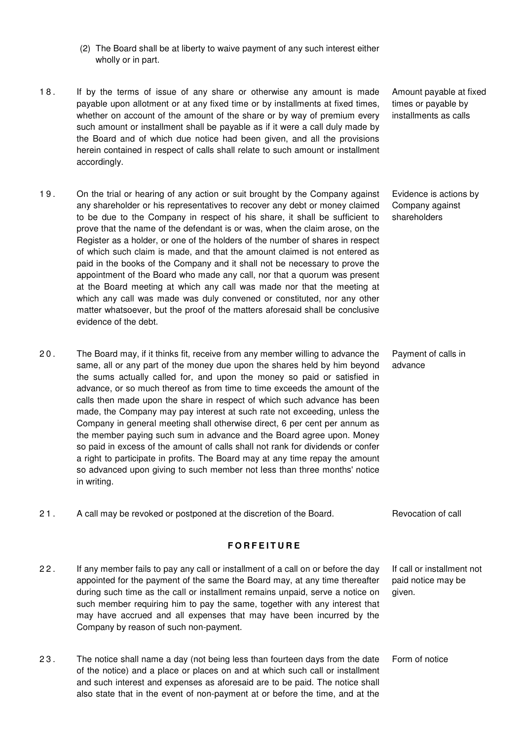- (2) The Board shall be at liberty to waive payment of any such interest either wholly or in part.
- 18. If by the terms of issue of any share or otherwise any amount is made payable upon allotment or at any fixed time or by installments at fixed times, whether on account of the amount of the share or by way of premium every such amount or installment shall be payable as if it were a call duly made by the Board and of which due notice had been given, and all the provisions herein contained in respect of calls shall relate to such amount or installment accordingly.
- 19. On the trial or hearing of any action or suit brought by the Company against any shareholder or his representatives to recover any debt or money claimed to be due to the Company in respect of his share, it shall be sufficient to prove that the name of the defendant is or was, when the claim arose, on the Register as a holder, or one of the holders of the number of shares in respect of which such claim is made, and that the amount claimed is not entered as paid in the books of the Company and it shall not be necessary to prove the appointment of the Board who made any call, nor that a quorum was present at the Board meeting at which any call was made nor that the meeting at which any call was made was duly convened or constituted, nor any other matter whatsoever, but the proof of the matters aforesaid shall be conclusive evidence of the debt.
- 2 0 . The Board may, if it thinks fit, receive from any member willing to advance the same, all or any part of the money due upon the shares held by him beyond the sums actually called for, and upon the money so paid or satisfied in advance, or so much thereof as from time to time exceeds the amount of the calls then made upon the share in respect of which such advance has been made, the Company may pay interest at such rate not exceeding, unless the Company in general meeting shall otherwise direct, 6 per cent per annum as the member paying such sum in advance and the Board agree upon. Money so paid in excess of the amount of calls shall not rank for dividends or confer a right to participate in profits. The Board may at any time repay the amount so advanced upon giving to such member not less than three months' notice in writing.
- 21. A call may be revoked or postponed at the discretion of the Board. Revocation of call

## **F O R F E I T U R E**

- 2 2 . If any member fails to pay any call or installment of a call on or before the day appointed for the payment of the same the Board may, at any time thereafter during such time as the call or installment remains unpaid, serve a notice on such member requiring him to pay the same, together with any interest that may have accrued and all expenses that may have been incurred by the Company by reason of such non-payment. If call or installment not paid notice may be given.
- 2 3 . The notice shall name a day (not being less than fourteen days from the date of the notice) and a place or places on and at which such call or installment and such interest and expenses as aforesaid are to be paid. The notice shall also state that in the event of non-payment at or before the time, and at the Form of notice

Amount payable at fixed times or payable by installments as calls

Evidence is actions by Company against shareholders

Payment of calls in advance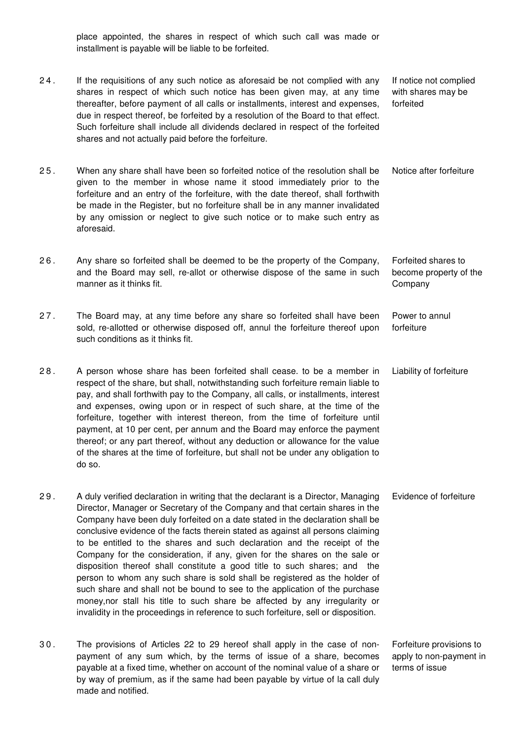place appointed, the shares in respect of which such call was made or installment is payable will be liable to be forfeited.

- 2 4 . If the requisitions of any such notice as aforesaid be not complied with any shares in respect of which such notice has been given may, at any time thereafter, before payment of all calls or installments, interest and expenses, due in respect thereof, be forfeited by a resolution of the Board to that effect. Such forfeiture shall include all dividends declared in respect of the forfeited shares and not actually paid before the forfeiture. If notice not complied with shares may be forfeited
- 2 5 . When any share shall have been so forfeited notice of the resolution shall be given to the member in whose name it stood immediately prior to the forfeiture and an entry of the forfeiture, with the date thereof, shall forthwith be made in the Register, but no forfeiture shall be in any manner invalidated by any omission or neglect to give such notice or to make such entry as aforesaid. Notice after forfeiture
- 2 6 . Any share so forfeited shall be deemed to be the property of the Company, and the Board may sell, re-allot or otherwise dispose of the same in such manner as it thinks fit. Forfeited shares to become property of the **Company**
- 2 7 . The Board may, at any time before any share so forfeited shall have been sold, re-allotted or otherwise disposed off, annul the forfeiture thereof upon such conditions as it thinks fit. Power to annul forfeiture
- 2 8 . A person whose share has been forfeited shall cease. to be a member in respect of the share, but shall, notwithstanding such forfeiture remain liable to pay, and shall forthwith pay to the Company, all calls, or installments, interest and expenses, owing upon or in respect of such share, at the time of the forfeiture, together with interest thereon, from the time of forfeiture until payment, at 10 per cent, per annum and the Board may enforce the payment thereof; or any part thereof, without any deduction or allowance for the value of the shares at the time of forfeiture, but shall not be under any obligation to do so. Liability of forfeiture
- 2 9 . A duly verified declaration in writing that the declarant is a Director, Managing Director, Manager or Secretary of the Company and that certain shares in the Company have been duly forfeited on a date stated in the declaration shall be conclusive evidence of the facts therein stated as against all persons claiming to be entitled to the shares and such declaration and the receipt of the Company for the consideration, if any, given for the shares on the sale or disposition thereof shall constitute a good title to such shares; and the person to whom any such share is sold shall be registered as the holder of such share and shall not be bound to see to the application of the purchase money,nor stall his title to such share be affected by any irregularity or invalidity in the proceedings in reference to such forfeiture, sell or disposition. Evidence of forfeiture
- 3 0 . The provisions of Articles 22 to 29 hereof shall apply in the case of nonpayment of any sum which, by the terms of issue of a share, becomes payable at a fixed time, whether on account of the nominal value of a share or by way of premium, as if the same had been payable by virtue of la call duly made and notified. Forfeiture provisions to apply to non-payment in terms of issue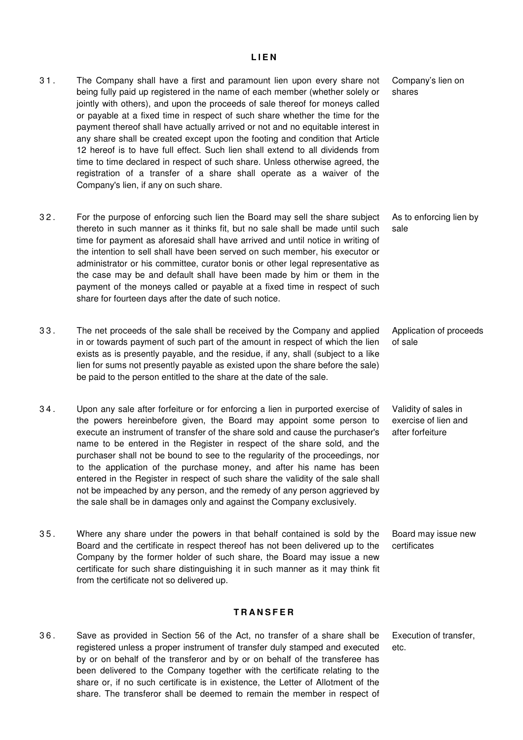### **L I E N**

- 3 1 . The Company shall have a first and paramount lien upon every share not being fully paid up registered in the name of each member (whether solely or jointly with others), and upon the proceeds of sale thereof for moneys called or payable at a fixed time in respect of such share whether the time for the payment thereof shall have actually arrived or not and no equitable interest in any share shall be created except upon the footing and condition that Article 12 hereof is to have full effect. Such lien shall extend to all dividends from time to time declared in respect of such share. Unless otherwise agreed, the registration of a transfer of a share shall operate as a waiver of the Company's lien, if any on such share. Company's lien on shares 3 2 . For the purpose of enforcing such lien the Board may sell the share subject thereto in such manner as it thinks fit, but no sale shall be made until such time for payment as aforesaid shall have arrived and until notice in writing of the intention to sell shall have been served on such member, his executor or administrator or his committee, curator bonis or other legal representative as the case may be and default shall have been made by him or them in the payment of the moneys called or payable at a fixed time in respect of such share for fourteen days after the date of such notice. As to enforcing lien by sale 3 3 . The net proceeds of the sale shall be received by the Company and applied in or towards payment of such part of the amount in respect of which the lien exists as is presently payable, and the residue, if any, shall (subject to a like lien for sums not presently payable as existed upon the share before the sale) be paid to the person entitled to the share at the date of the sale. Application of proceeds of sale 3 4 . Upon any sale after forfeiture or for enforcing a lien in purported exercise of the powers hereinbefore given, the Board may appoint some person to execute an instrument of transfer of the share sold and cause the purchaser's name to be entered in the Register in respect of the share sold, and the purchaser shall not be bound to see to the regularity of the proceedings, nor to the application of the purchase money, and after his name has been entered in the Register in respect of such share the validity of the sale shall not be impeached by any person, and the remedy of any person aggrieved by Validity of sales in exercise of lien and after forfeiture
- 3 5 . Where any share under the powers in that behalf contained is sold by the Board and the certificate in respect thereof has not been delivered up to the Company by the former holder of such share, the Board may issue a new certificate for such share distinguishing it in such manner as it may think fit from the certificate not so delivered up. Board may issue new certificates

### **T R A N S F E R**

3 6 . Save as provided in Section 56 of the Act, no transfer of a share shall be registered unless a proper instrument of transfer duly stamped and executed by or on behalf of the transferor and by or on behalf of the transferee has been delivered to the Company together with the certificate relating to the share or, if no such certificate is in existence, the Letter of Allotment of the share. The transferor shall be deemed to remain the member in respect of

the sale shall be in damages only and against the Company exclusively.

Execution of transfer, etc.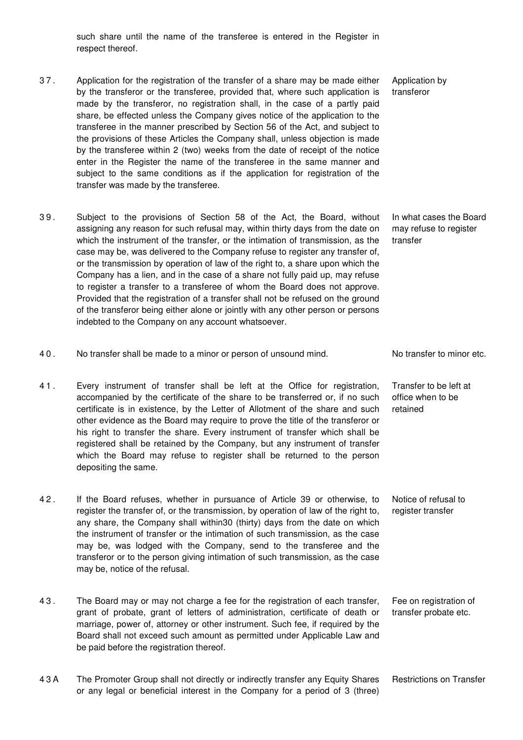such share until the name of the transferee is entered in the Register in respect thereof.

- 3 7 . Application for the registration of the transfer of a share may be made either by the transferor or the transferee, provided that, where such application is made by the transferor, no registration shall, in the case of a partly paid share, be effected unless the Company gives notice of the application to the transferee in the manner prescribed by Section 56 of the Act, and subject to the provisions of these Articles the Company shall, unless objection is made by the transferee within 2 (two) weeks from the date of receipt of the notice enter in the Register the name of the transferee in the same manner and subject to the same conditions as if the application for registration of the transfer was made by the transferee.
- 3 9 . Subject to the provisions of Section 58 of the Act, the Board, without assigning any reason for such refusal may, within thirty days from the date on which the instrument of the transfer, or the intimation of transmission, as the case may be, was delivered to the Company refuse to register any transfer of, or the transmission by operation of law of the right to, a share upon which the Company has a lien, and in the case of a share not fully paid up, may refuse to register a transfer to a transferee of whom the Board does not approve. Provided that the registration of a transfer shall not be refused on the ground of the transferor being either alone or jointly with any other person or persons indebted to the Company on any account whatsoever.
- 40. No transfer shall be made to a minor or person of unsound mind. No transfer to minor etc.
- 4 1 . Every instrument of transfer shall be left at the Office for registration, accompanied by the certificate of the share to be transferred or, if no such certificate is in existence, by the Letter of Allotment of the share and such other evidence as the Board may require to prove the title of the transferor or his right to transfer the share. Every instrument of transfer which shall be registered shall be retained by the Company, but any instrument of transfer which the Board may refuse to register shall be returned to the person depositing the same.
- 4 2 . If the Board refuses, whether in pursuance of Article 39 or otherwise, to register the transfer of, or the transmission, by operation of law of the right to, any share, the Company shall within30 (thirty) days from the date on which the instrument of transfer or the intimation of such transmission, as the case may be, was lodged with the Company, send to the transferee and the transferor or to the person giving intimation of such transmission, as the case may be, notice of the refusal.
- 4 3 . The Board may or may not charge a fee for the registration of each transfer, grant of probate, grant of letters of administration, certificate of death or marriage, power of, attorney or other instrument. Such fee, if required by the Board shall not exceed such amount as permitted under Applicable Law and be paid before the registration thereof. Fee on registration of transfer probate etc.
- 4 3 A The Promoter Group shall not directly or indirectly transfer any Equity Shares or any legal or beneficial interest in the Company for a period of 3 (three)

Application by transferor

In what cases the Board may refuse to register transfer

Transfer to be left at office when to be retained

Notice of refusal to register transfer

Restrictions on Transfer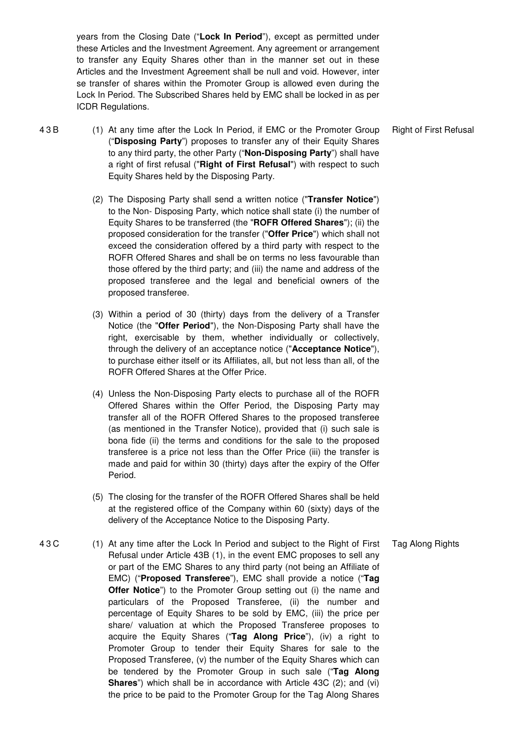years from the Closing Date ("**Lock In Period**"), except as permitted under these Articles and the Investment Agreement. Any agreement or arrangement to transfer any Equity Shares other than in the manner set out in these Articles and the Investment Agreement shall be null and void. However, inter se transfer of shares within the Promoter Group is allowed even during the Lock In Period. The Subscribed Shares held by EMC shall be locked in as per ICDR Regulations.

- 4 3 B (1) At any time after the Lock In Period, if EMC or the Promoter Group ("**Disposing Party**") proposes to transfer any of their Equity Shares to any third party, the other Party ("**Non-Disposing Party**") shall have a right of first refusal ("**Right of First Refusal**") with respect to such Equity Shares held by the Disposing Party. Right of First Refusal
	- (2) The Disposing Party shall send a written notice ("**Transfer Notice**") to the Non- Disposing Party, which notice shall state (i) the number of Equity Shares to be transferred (the "**ROFR Offered Shares**"); (ii) the proposed consideration for the transfer ("**Offer Price**") which shall not exceed the consideration offered by a third party with respect to the ROFR Offered Shares and shall be on terms no less favourable than those offered by the third party; and (iii) the name and address of the proposed transferee and the legal and beneficial owners of the proposed transferee.
	- (3) Within a period of 30 (thirty) days from the delivery of a Transfer Notice (the "**Offer Period**"), the Non-Disposing Party shall have the right, exercisable by them, whether individually or collectively, through the delivery of an acceptance notice ("**Acceptance Notice**"), to purchase either itself or its Affiliates, all, but not less than all, of the ROFR Offered Shares at the Offer Price.
	- (4) Unless the Non-Disposing Party elects to purchase all of the ROFR Offered Shares within the Offer Period, the Disposing Party may transfer all of the ROFR Offered Shares to the proposed transferee (as mentioned in the Transfer Notice), provided that (i) such sale is bona fide (ii) the terms and conditions for the sale to the proposed transferee is a price not less than the Offer Price (iii) the transfer is made and paid for within 30 (thirty) days after the expiry of the Offer Period.
	- (5) The closing for the transfer of the ROFR Offered Shares shall be held at the registered office of the Company within 60 (sixty) days of the delivery of the Acceptance Notice to the Disposing Party.
- 4 3 C (1) At any time after the Lock In Period and subject to the Right of First Refusal under Article 43B (1), in the event EMC proposes to sell any or part of the EMC Shares to any third party (not being an Affiliate of EMC) ("**Proposed Transferee**"), EMC shall provide a notice ("**Tag Offer Notice**") to the Promoter Group setting out (i) the name and particulars of the Proposed Transferee, (ii) the number and percentage of Equity Shares to be sold by EMC, (iii) the price per share/ valuation at which the Proposed Transferee proposes to acquire the Equity Shares ("**Tag Along Price**"), (iv) a right to Promoter Group to tender their Equity Shares for sale to the Proposed Transferee, (v) the number of the Equity Shares which can be tendered by the Promoter Group in such sale ("**Tag Along Shares**") which shall be in accordance with Article 43C (2); and (vi) the price to be paid to the Promoter Group for the Tag Along Shares Tag Along Rights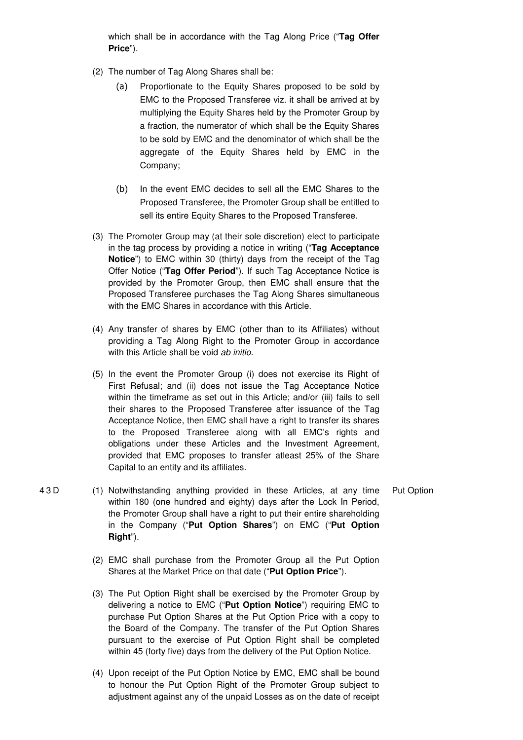which shall be in accordance with the Tag Along Price ("**Tag Offer Price**").

- (2) The number of Tag Along Shares shall be:
	- (a) Proportionate to the Equity Shares proposed to be sold by EMC to the Proposed Transferee viz. it shall be arrived at by multiplying the Equity Shares held by the Promoter Group by a fraction, the numerator of which shall be the Equity Shares to be sold by EMC and the denominator of which shall be the aggregate of the Equity Shares held by EMC in the Company;
	- (b) In the event EMC decides to sell all the EMC Shares to the Proposed Transferee, the Promoter Group shall be entitled to sell its entire Equity Shares to the Proposed Transferee.
- (3) The Promoter Group may (at their sole discretion) elect to participate in the tag process by providing a notice in writing ("**Tag Acceptance Notice**") to EMC within 30 (thirty) days from the receipt of the Tag Offer Notice ("**Tag Offer Period**"). If such Tag Acceptance Notice is provided by the Promoter Group, then EMC shall ensure that the Proposed Transferee purchases the Tag Along Shares simultaneous with the EMC Shares in accordance with this Article.
- (4) Any transfer of shares by EMC (other than to its Affiliates) without providing a Tag Along Right to the Promoter Group in accordance with this Article shall be void ab initio.
- (5) In the event the Promoter Group (i) does not exercise its Right of First Refusal; and (ii) does not issue the Tag Acceptance Notice within the timeframe as set out in this Article; and/or (iii) fails to sell their shares to the Proposed Transferee after issuance of the Tag Acceptance Notice, then EMC shall have a right to transfer its shares to the Proposed Transferee along with all EMC's rights and obligations under these Articles and the Investment Agreement, provided that EMC proposes to transfer atleast 25% of the Share Capital to an entity and its affiliates.
- 4 3 D (1) Notwithstanding anything provided in these Articles, at any time within 180 (one hundred and eighty) days after the Lock In Period, the Promoter Group shall have a right to put their entire shareholding in the Company ("**Put Option Shares**") on EMC ("**Put Option Right**"). Put Option
	- (2) EMC shall purchase from the Promoter Group all the Put Option Shares at the Market Price on that date ("**Put Option Price**").
	- (3) The Put Option Right shall be exercised by the Promoter Group by delivering a notice to EMC ("**Put Option Notice**") requiring EMC to purchase Put Option Shares at the Put Option Price with a copy to the Board of the Company. The transfer of the Put Option Shares pursuant to the exercise of Put Option Right shall be completed within 45 (forty five) days from the delivery of the Put Option Notice.
	- (4) Upon receipt of the Put Option Notice by EMC, EMC shall be bound to honour the Put Option Right of the Promoter Group subject to adjustment against any of the unpaid Losses as on the date of receipt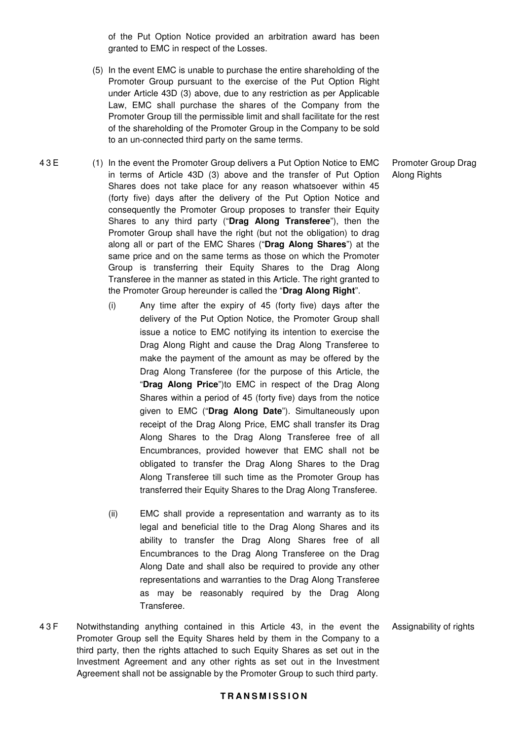of the Put Option Notice provided an arbitration award has been granted to EMC in respect of the Losses.

- (5) In the event EMC is unable to purchase the entire shareholding of the Promoter Group pursuant to the exercise of the Put Option Right under Article 43D (3) above, due to any restriction as per Applicable Law, EMC shall purchase the shares of the Company from the Promoter Group till the permissible limit and shall facilitate for the rest of the shareholding of the Promoter Group in the Company to be sold to an un-connected third party on the same terms.
- 4 3 E (1) In the event the Promoter Group delivers a Put Option Notice to EMC in terms of Article 43D (3) above and the transfer of Put Option Shares does not take place for any reason whatsoever within 45 (forty five) days after the delivery of the Put Option Notice and consequently the Promoter Group proposes to transfer their Equity Shares to any third party ("**Drag Along Transferee**"), then the Promoter Group shall have the right (but not the obligation) to drag along all or part of the EMC Shares ("**Drag Along Shares**") at the same price and on the same terms as those on which the Promoter Group is transferring their Equity Shares to the Drag Along Transferee in the manner as stated in this Article. The right granted to the Promoter Group hereunder is called the "**Drag Along Right**".
	- (i) Any time after the expiry of 45 (forty five) days after the delivery of the Put Option Notice, the Promoter Group shall issue a notice to EMC notifying its intention to exercise the Drag Along Right and cause the Drag Along Transferee to make the payment of the amount as may be offered by the Drag Along Transferee (for the purpose of this Article, the "**Drag Along Price**")to EMC in respect of the Drag Along Shares within a period of 45 (forty five) days from the notice given to EMC ("**Drag Along Date**"). Simultaneously upon receipt of the Drag Along Price, EMC shall transfer its Drag Along Shares to the Drag Along Transferee free of all Encumbrances, provided however that EMC shall not be obligated to transfer the Drag Along Shares to the Drag Along Transferee till such time as the Promoter Group has transferred their Equity Shares to the Drag Along Transferee.
	- (ii) EMC shall provide a representation and warranty as to its legal and beneficial title to the Drag Along Shares and its ability to transfer the Drag Along Shares free of all Encumbrances to the Drag Along Transferee on the Drag Along Date and shall also be required to provide any other representations and warranties to the Drag Along Transferee as may be reasonably required by the Drag Along Transferee.
- 4 3 F Notwithstanding anything contained in this Article 43, in the event the Promoter Group sell the Equity Shares held by them in the Company to a third party, then the rights attached to such Equity Shares as set out in the Investment Agreement and any other rights as set out in the Investment Agreement shall not be assignable by the Promoter Group to such third party.

Promoter Group Drag Along Rights

#### Assignability of rights

## **T R A N S M I S S I O N**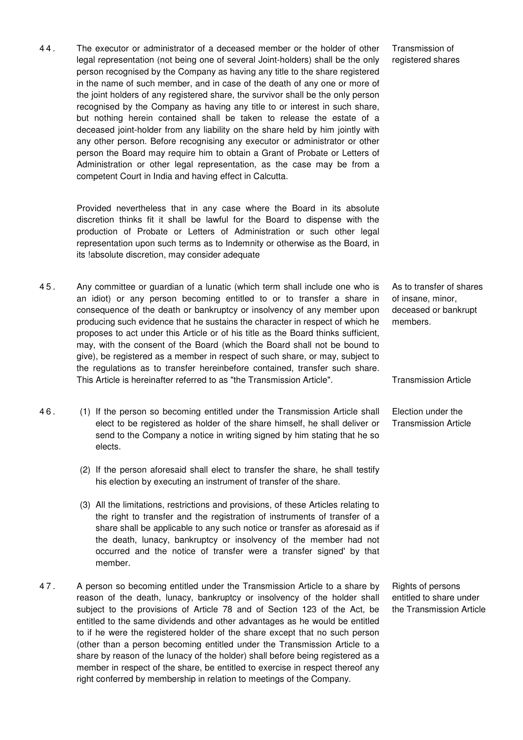4 4 . The executor or administrator of a deceased member or the holder of other legal representation (not being one of several Joint-holders) shall be the only person recognised by the Company as having any title to the share registered in the name of such member, and in case of the death of any one or more of the joint holders of any registered share, the survivor shall be the only person recognised by the Company as having any title to or interest in such share, but nothing herein contained shall be taken to release the estate of a deceased joint-holder from any liability on the share held by him jointly with any other person. Before recognising any executor or administrator or other person the Board may require him to obtain a Grant of Probate or Letters of Administration or other legal representation, as the case may be from a competent Court in India and having effect in Calcutta.

> Provided nevertheless that in any case where the Board in its absolute discretion thinks fit it shall be lawful for the Board to dispense with the production of Probate or Letters of Administration or such other legal representation upon such terms as to Indemnity or otherwise as the Board, in its !absolute discretion, may consider adequate

- 4 5 . Any committee or guardian of a lunatic (which term shall include one who is an idiot) or any person becoming entitled to or to transfer a share in consequence of the death or bankruptcy or insolvency of any member upon producing such evidence that he sustains the character in respect of which he proposes to act under this Article or of his title as the Board thinks sufficient, may, with the consent of the Board (which the Board shall not be bound to give), be registered as a member in respect of such share, or may, subject to the regulations as to transfer hereinbefore contained, transfer such share. This Article is hereinafter referred to as "the Transmission Article".
- 4 6 . (1) If the person so becoming entitled under the Transmission Article shall elect to be registered as holder of the share himself, he shall deliver or send to the Company a notice in writing signed by him stating that he so elects.
	- (2) If the person aforesaid shall elect to transfer the share, he shall testify his election by executing an instrument of transfer of the share.
	- (3) All the limitations, restrictions and provisions, of these Articles relating to the right to transfer and the registration of instruments of transfer of a share shall be applicable to any such notice or transfer as aforesaid as if the death, lunacy, bankruptcy or insolvency of the member had not occurred and the notice of transfer were a transfer signed' by that member.
- 4 7 . A person so becoming entitled under the Transmission Article to a share by reason of the death, lunacy, bankruptcy or insolvency of the holder shall subject to the provisions of Article 78 and of Section 123 of the Act, be entitled to the same dividends and other advantages as he would be entitled to if he were the registered holder of the share except that no such person (other than a person becoming entitled under the Transmission Article to a share by reason of the lunacy of the holder) shall before being registered as a member in respect of the share, be entitled to exercise in respect thereof any right conferred by membership in relation to meetings of the Company.

Transmission of registered shares

As to transfer of shares of insane, minor, deceased or bankrupt members.

Transmission Article

Election under the Transmission Article

Rights of persons entitled to share under the Transmission Article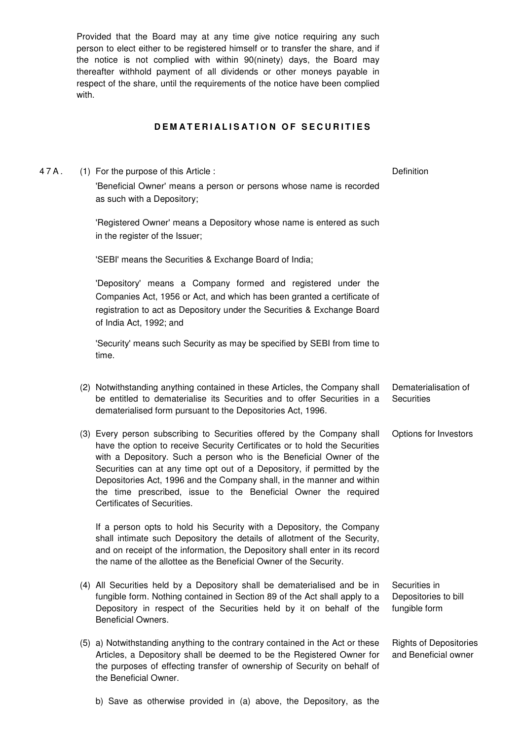Provided that the Board may at any time give notice requiring any such person to elect either to be registered himself or to transfer the share, and if the notice is not complied with within 90(ninety) days, the Board may thereafter withhold payment of all dividends or other moneys payable in respect of the share, until the requirements of the notice have been complied with.

## **DEMATERIALISATION OF SECURITIES**

4 7 A . (1) For the purpose of this Article : 'Beneficial Owner' means a person or persons whose name is recorded as such with a Depository; **Definition** 

> 'Registered Owner' means a Depository whose name is entered as such in the register of the Issuer;

'SEBI' means the Securities & Exchange Board of India;

'Depository' means a Company formed and registered under the Companies Act, 1956 or Act, and which has been granted a certificate of registration to act as Depository under the Securities & Exchange Board of India Act, 1992; and

'Security' means such Security as may be specified by SEBI from time to time.

- (2) Notwithstanding anything contained in these Articles, the Company shall be entitled to dematerialise its Securities and to offer Securities in a dematerialised form pursuant to the Depositories Act, 1996. Dematerialisation of **Securities**
- (3) Every person subscribing to Securities offered by the Company shall have the option to receive Security Certificates or to hold the Securities with a Depository. Such a person who is the Beneficial Owner of the Securities can at any time opt out of a Depository, if permitted by the Depositories Act, 1996 and the Company shall, in the manner and within the time prescribed, issue to the Beneficial Owner the required Certificates of Securities. Options for Investors

If a person opts to hold his Security with a Depository, the Company shall intimate such Depository the details of allotment of the Security, and on receipt of the information, the Depository shall enter in its record the name of the allottee as the Beneficial Owner of the Security.

- (4) All Securities held by a Depository shall be dematerialised and be in fungible form. Nothing contained in Section 89 of the Act shall apply to a Depository in respect of the Securities held by it on behalf of the Beneficial Owners. Securities in Depositories to bill fungible form
- (5) a) Notwithstanding anything to the contrary contained in the Act or these Articles, a Depository shall be deemed to be the Registered Owner for the purposes of effecting transfer of ownership of Security on behalf of the Beneficial Owner. Rights of Depositories and Beneficial owner
	- b) Save as otherwise provided in (a) above, the Depository, as the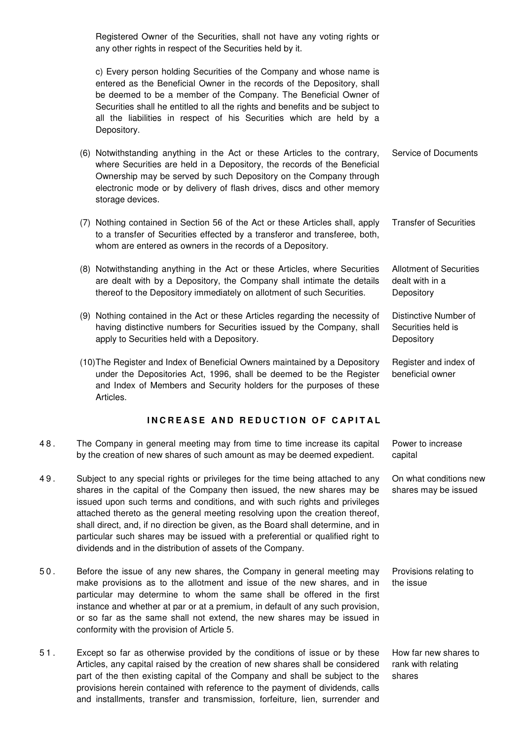Registered Owner of the Securities, shall not have any voting rights or any other rights in respect of the Securities held by it.

c) Every person holding Securities of the Company and whose name is entered as the Beneficial Owner in the records of the Depository, shall be deemed to be a member of the Company. The Beneficial Owner of Securities shall he entitled to all the rights and benefits and be subject to all the liabilities in respect of his Securities which are held by a Depository.

- (6) Notwithstanding anything in the Act or these Articles to the contrary, where Securities are held in a Depository, the records of the Beneficial Ownership may be served by such Depository on the Company through electronic mode or by delivery of flash drives, discs and other memory storage devices. Service of Documents
- (7) Nothing contained in Section 56 of the Act or these Articles shall, apply to a transfer of Securities effected by a transferor and transferee, both, whom are entered as owners in the records of a Depository. Transfer of Securities
- (8) Notwithstanding anything in the Act or these Articles, where Securities are dealt with by a Depository, the Company shall intimate the details thereof to the Depository immediately on allotment of such Securities.
- (9) Nothing contained in the Act or these Articles regarding the necessity of having distinctive numbers for Securities issued by the Company, shall apply to Securities held with a Depository. Distinctive Number of Securities held is **Depository**
- (10) The Register and Index of Beneficial Owners maintained by a Depository under the Depositories Act, 1996, shall be deemed to be the Register and Index of Members and Security holders for the purposes of these Articles. Register and index of beneficial owner

## **INCREASE AND REDUCTION OF CAPITAL**

- 4 8 . The Company in general meeting may from time to time increase its capital by the creation of new shares of such amount as may be deemed expedient.
- 4 9 . Subject to any special rights or privileges for the time being attached to any shares in the capital of the Company then issued, the new shares may be issued upon such terms and conditions, and with such rights and privileges attached thereto as the general meeting resolving upon the creation thereof, shall direct, and, if no direction be given, as the Board shall determine, and in particular such shares may be issued with a preferential or qualified right to dividends and in the distribution of assets of the Company.
- 5 0 . Before the issue of any new shares, the Company in general meeting may make provisions as to the allotment and issue of the new shares, and in particular may determine to whom the same shall be offered in the first instance and whether at par or at a premium, in default of any such provision, or so far as the same shall not extend, the new shares may be issued in conformity with the provision of Article 5.
- 5 1 . Except so far as otherwise provided by the conditions of issue or by these Articles, any capital raised by the creation of new shares shall be considered part of the then existing capital of the Company and shall be subject to the provisions herein contained with reference to the payment of dividends, calls and installments, transfer and transmission, forfeiture, lien, surrender and

Power to increase capital

Allotment of Securities

dealt with in a **Depository** 

On what conditions new shares may be issued

Provisions relating to the issue

How far new shares to rank with relating shares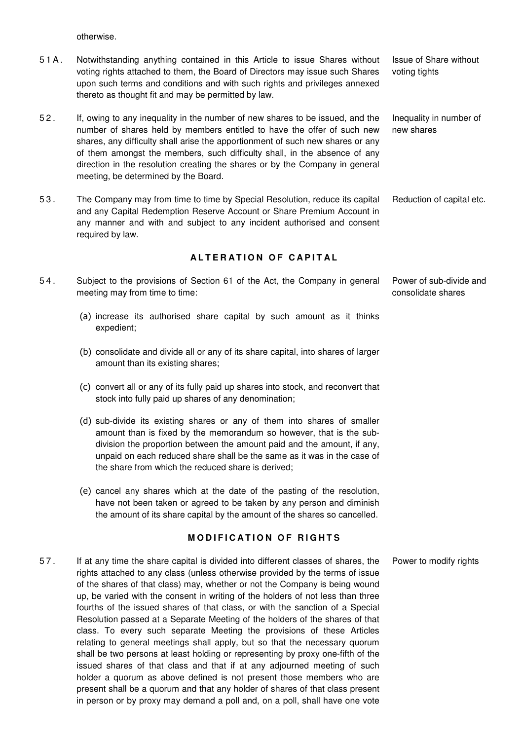otherwise.

- 5 1 A . Notwithstanding anything contained in this Article to issue Shares without voting rights attached to them, the Board of Directors may issue such Shares upon such terms and conditions and with such rights and privileges annexed thereto as thought fit and may be permitted by law.
- 5 2 . If, owing to any inequality in the number of new shares to be issued, and the number of shares held by members entitled to have the offer of such new shares, any difficulty shall arise the apportionment of such new shares or any of them amongst the members, such difficulty shall, in the absence of any direction in the resolution creating the shares or by the Company in general meeting, be determined by the Board.
- 5 3 . The Company may from time to time by Special Resolution, reduce its capital and any Capital Redemption Reserve Account or Share Premium Account in any manner and with and subject to any incident authorised and consent required by law. Reduction of capital etc.

### **ALTERATION OF CAPITAL**

- 5 4 . Subject to the provisions of Section 61 of the Act, the Company in general meeting may from time to time:
	- (a) increase its authorised share capital by such amount as it thinks expedient;
	- (b) consolidate and divide all or any of its share capital, into shares of larger amount than its existing shares;
	- (c) convert all or any of its fully paid up shares into stock, and reconvert that stock into fully paid up shares of any denomination;
	- (d) sub-divide its existing shares or any of them into shares of smaller amount than is fixed by the memorandum so however, that is the subdivision the proportion between the amount paid and the amount, if any, unpaid on each reduced share shall be the same as it was in the case of the share from which the reduced share is derived;
	- (e) cancel any shares which at the date of the pasting of the resolution, have not been taken or agreed to be taken by any person and diminish the amount of its share capital by the amount of the shares so cancelled.

#### **MODIFICATION OF RIGHTS**

5 7 . If at any time the share capital is divided into different classes of shares, the rights attached to any class (unless otherwise provided by the terms of issue of the shares of that class) may, whether or not the Company is being wound up, be varied with the consent in writing of the holders of not less than three fourths of the issued shares of that class, or with the sanction of a Special Resolution passed at a Separate Meeting of the holders of the shares of that class. To every such separate Meeting the provisions of these Articles relating to general meetings shall apply, but so that the necessary quorum shall be two persons at least holding or representing by proxy one-fifth of the issued shares of that class and that if at any adjourned meeting of such holder a quorum as above defined is not present those members who are present shall be a quorum and that any holder of shares of that class present in person or by proxy may demand a poll and, on a poll, shall have one vote Power to modify rights

Issue of Share without voting tights

Inequality in number of new shares

Power of sub-divide and consolidate shares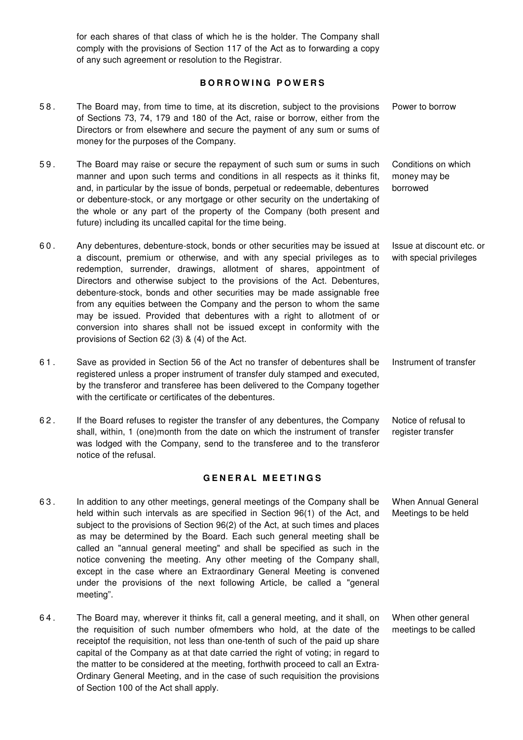for each shares of that class of which he is the holder. The Company shall comply with the provisions of Section 117 of the Act as to forwarding a copy of any such agreement or resolution to the Registrar.

### **B O R R O W I N G P O W E R S**

5 8 . The Board may, from time to time, at its discretion, subject to the provisions of Sections 73, 74, 179 and 180 of the Act, raise or borrow, either from the Directors or from elsewhere and secure the payment of any sum or sums of money for the purposes of the Company. Power to borrow 5 9 . The Board may raise or secure the repayment of such sum or sums in such manner and upon such terms and conditions in all respects as it thinks fit, and, in particular by the issue of bonds, perpetual or redeemable, debentures or debenture-stock, or any mortgage or other security on the undertaking of the whole or any part of the property of the Company (both present and future) including its uncalled capital for the time being. Conditions on which money may be borrowed 6 0 . Any debentures, debenture-stock, bonds or other securities may be issued at a discount, premium or otherwise, and with any special privileges as to redemption, surrender, drawings, allotment of shares, appointment of Directors and otherwise subject to the provisions of the Act. Debentures, debenture-stock, bonds and other securities may be made assignable free from any equities between the Company and the person to whom the same may be issued. Provided that debentures with a right to allotment of or conversion into shares shall not be issued except in conformity with the provisions of Section 62 (3) & (4) of the Act. Issue at discount etc. or with special privileges 6 1 . Save as provided in Section 56 of the Act no transfer of debentures shall be registered unless a proper instrument of transfer duly stamped and executed, by the transferor and transferee has been delivered to the Company together with the certificate or certificates of the debentures. Instrument of transfer 6 2 . If the Board refuses to register the transfer of any debentures, the Company shall, within, 1 (one)month from the date on which the instrument of transfer was lodged with the Company, send to the transferee and to the transferor notice of the refusal. Notice of refusal to register transfer **G E N E R A L M E E T I N G S**  6 3 . In addition to any other meetings, general meetings of the Company shall be held within such intervals as are specified in Section 96(1) of the Act, and subject to the provisions of Section 96(2) of the Act, at such times and places as may be determined by the Board. Each such general meeting shall be called an "annual general meeting" and shall be specified as such in the notice convening the meeting. Any other meeting of the Company shall, except in the case where an Extraordinary General Meeting is convened under the provisions of the next following Article, be called a "general meeting". When Annual General Meetings to be held 6 4 . The Board may, wherever it thinks fit, call a general meeting, and it shall, on the requisition of such number ofmembers who hold, at the date of the receiptof the requisition, not less than one-tenth of such of the paid up share When other general meetings to be called

capital of the Company as at that date carried the right of voting; in regard to the matter to be considered at the meeting, forthwith proceed to call an Extra-Ordinary General Meeting, and in the case of such requisition the provisions

of Section 100 of the Act shall apply.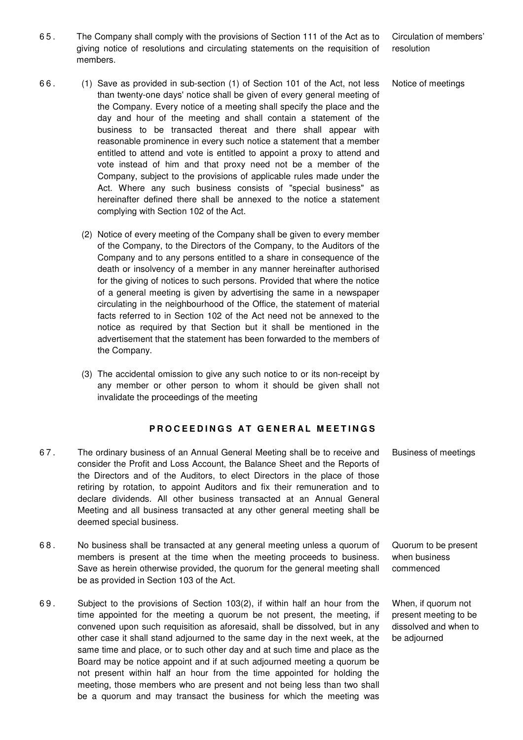6 5 . The Company shall comply with the provisions of Section 111 of the Act as to giving notice of resolutions and circulating statements on the requisition of members.

Circulation of members' resolution

Notice of meetings

- 6 6 . (1) Save as provided in sub-section (1) of Section 101 of the Act, not less than twenty-one days' notice shall be given of every general meeting of the Company. Every notice of a meeting shall specify the place and the day and hour of the meeting and shall contain a statement of the business to be transacted thereat and there shall appear with reasonable prominence in every such notice a statement that a member entitled to attend and vote is entitled to appoint a proxy to attend and vote instead of him and that proxy need not be a member of the Company, subject to the provisions of applicable rules made under the Act. Where any such business consists of "special business" as hereinafter defined there shall be annexed to the notice a statement complying with Section 102 of the Act.
	- (2) Notice of every meeting of the Company shall be given to every member of the Company, to the Directors of the Company, to the Auditors of the Company and to any persons entitled to a share in consequence of the death or insolvency of a member in any manner hereinafter authorised for the giving of notices to such persons. Provided that where the notice of a general meeting is given by advertising the same in a newspaper circulating in the neighbourhood of the Office, the statement of material facts referred to in Section 102 of the Act need not be annexed to the notice as required by that Section but it shall be mentioned in the advertisement that the statement has been forwarded to the members of the Company.
	- (3) The accidental omission to give any such notice to or its non-receipt by any member or other person to whom it should be given shall not invalidate the proceedings of the meeting

## **PROCEEDINGS AT GENERAL MEETINGS**

- 6 7 . The ordinary business of an Annual General Meeting shall be to receive and consider the Profit and Loss Account, the Balance Sheet and the Reports of the Directors and of the Auditors, to elect Directors in the place of those retiring by rotation, to appoint Auditors and fix their remuneration and to declare dividends. All other business transacted at an Annual General Meeting and all business transacted at any other general meeting shall be deemed special business. Business of meetings
- 6 8 . No business shall be transacted at any general meeting unless a quorum of members is present at the time when the meeting proceeds to business. Save as herein otherwise provided, the quorum for the general meeting shall be as provided in Section 103 of the Act. Quorum to be present when business commenced
- 6 9 . Subject to the provisions of Section 103(2), if within half an hour from the time appointed for the meeting a quorum be not present, the meeting, if convened upon such requisition as aforesaid, shall be dissolved, but in any other case it shall stand adjourned to the same day in the next week, at the same time and place, or to such other day and at such time and place as the Board may be notice appoint and if at such adjourned meeting a quorum be not present within half an hour from the time appointed for holding the meeting, those members who are present and not being less than two shall be a quorum and may transact the business for which the meeting was

When, if quorum not present meeting to be dissolved and when to be adjourned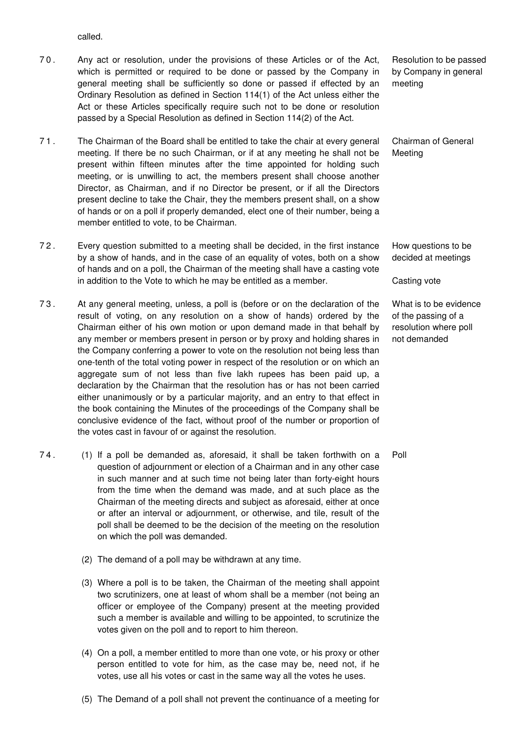called.

- 7 0 . Any act or resolution, under the provisions of these Articles or of the Act, which is permitted or required to be done or passed by the Company in general meeting shall be sufficiently so done or passed if effected by an Ordinary Resolution as defined in Section 114(1) of the Act unless either the Act or these Articles specifically require such not to be done or resolution passed by a Special Resolution as defined in Section 114(2) of the Act.
- 7 1 . The Chairman of the Board shall be entitled to take the chair at every general meeting. If there be no such Chairman, or if at any meeting he shall not be present within fifteen minutes after the time appointed for holding such meeting, or is unwilling to act, the members present shall choose another Director, as Chairman, and if no Director be present, or if all the Directors present decline to take the Chair, they the members present shall, on a show of hands or on a poll if properly demanded, elect one of their number, being a member entitled to vote, to be Chairman.
- 7 2 . Every question submitted to a meeting shall be decided, in the first instance by a show of hands, and in the case of an equality of votes, both on a show of hands and on a poll, the Chairman of the meeting shall have a casting vote in addition to the Vote to which he may be entitled as a member.
- 7 3 . At any general meeting, unless, a poll is (before or on the declaration of the result of voting, on any resolution on a show of hands) ordered by the Chairman either of his own motion or upon demand made in that behalf by any member or members present in person or by proxy and holding shares in the Company conferring a power to vote on the resolution not being less than one-tenth of the total voting power in respect of the resolution or on which an aggregate sum of not less than five lakh rupees has been paid up, a declaration by the Chairman that the resolution has or has not been carried either unanimously or by a particular majority, and an entry to that effect in the book containing the Minutes of the proceedings of the Company shall be conclusive evidence of the fact, without proof of the number or proportion of the votes cast in favour of or against the resolution.
- 7 4 . (1) If a poll be demanded as, aforesaid, it shall be taken forthwith on a question of adjournment or election of a Chairman and in any other case in such manner and at such time not being later than forty-eight hours from the time when the demand was made, and at such place as the Chairman of the meeting directs and subject as aforesaid, either at once or after an interval or adjournment, or otherwise, and tile, result of the poll shall be deemed to be the decision of the meeting on the resolution on which the poll was demanded.
	- (2) The demand of a poll may be withdrawn at any time.
	- (3) Where a poll is to be taken, the Chairman of the meeting shall appoint two scrutinizers, one at least of whom shall be a member (not being an officer or employee of the Company) present at the meeting provided such a member is available and willing to be appointed, to scrutinize the votes given on the poll and to report to him thereon.
	- (4) On a poll, a member entitled to more than one vote, or his proxy or other person entitled to vote for him, as the case may be, need not, if he votes, use all his votes or cast in the same way all the votes he uses.
	- (5) The Demand of a poll shall not prevent the continuance of a meeting for

Resolution to be passed by Company in general meeting

Chairman of General Meeting

How questions to be decided at meetings

Casting vote

What is to be evidence of the passing of a resolution where poll not demanded

Poll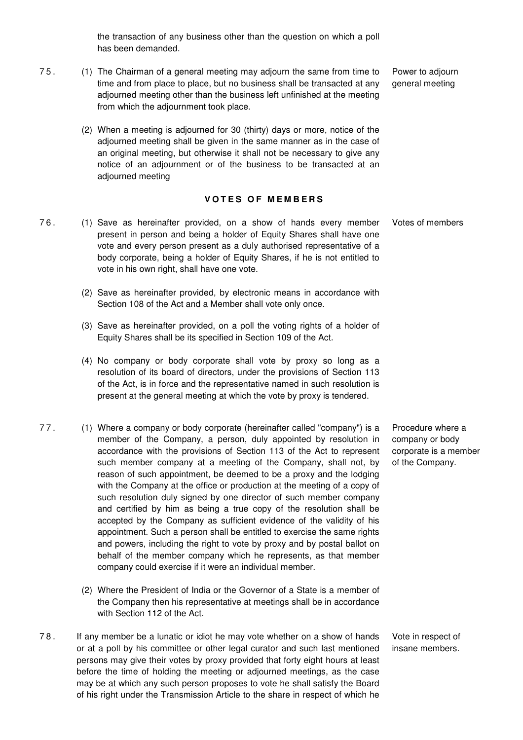the transaction of any business other than the question on which a poll has been demanded.

- 7 5 . (1) The Chairman of a general meeting may adjourn the same from time to time and from place to place, but no business shall be transacted at any adjourned meeting other than the business left unfinished at the meeting from which the adjournment took place.
	- (2) When a meeting is adjourned for 30 (thirty) days or more, notice of the adjourned meeting shall be given in the same manner as in the case of an original meeting, but otherwise it shall not be necessary to give any notice of an adjournment or of the business to be transacted at an adjourned meeting

### **VOTES OF MEMBERS**

- 7 6 . (1) Save as hereinafter provided, on a show of hands every member present in person and being a holder of Equity Shares shall have one vote and every person present as a duly authorised representative of a body corporate, being a holder of Equity Shares, if he is not entitled to vote in his own right, shall have one vote. Votes of members
	- (2) Save as hereinafter provided, by electronic means in accordance with Section 108 of the Act and a Member shall vote only once.
	- (3) Save as hereinafter provided, on a poll the voting rights of a holder of Equity Shares shall be its specified in Section 109 of the Act.
	- (4) No company or body corporate shall vote by proxy so long as a resolution of its board of directors, under the provisions of Section 113 of the Act, is in force and the representative named in such resolution is present at the general meeting at which the vote by proxy is tendered.
- 7 7 . (1) Where a company or body corporate (hereinafter called "company") is a member of the Company, a person, duly appointed by resolution in accordance with the provisions of Section 113 of the Act to represent such member company at a meeting of the Company, shall not, by reason of such appointment, be deemed to be a proxy and the lodging with the Company at the office or production at the meeting of a copy of such resolution duly signed by one director of such member company and certified by him as being a true copy of the resolution shall be accepted by the Company as sufficient evidence of the validity of his appointment. Such a person shall be entitled to exercise the same rights and powers, including the right to vote by proxy and by postal ballot on behalf of the member company which he represents, as that member company could exercise if it were an individual member.
	- (2) Where the President of India or the Governor of a State is a member of the Company then his representative at meetings shall be in accordance with Section 112 of the Act.
- 7 8 . If any member be a lunatic or idiot he may vote whether on a show of hands or at a poll by his committee or other legal curator and such last mentioned persons may give their votes by proxy provided that forty eight hours at least before the time of holding the meeting or adjourned meetings, as the case may be at which any such person proposes to vote he shall satisfy the Board of his right under the Transmission Article to the share in respect of which he

Procedure where a company or body corporate is a member of the Company.

Vote in respect of insane members.

Power to adjourn general meeting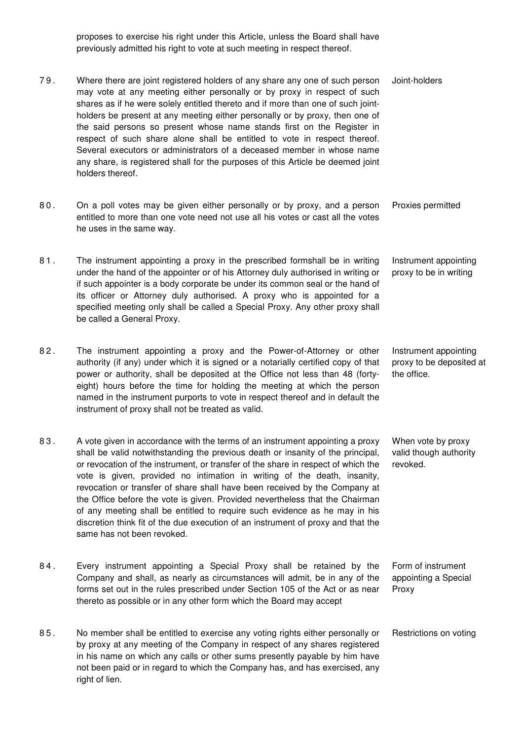proposes to exercise his right under this Article, unless the Board shall have previously admitted his right to vote at such meeting in respect thereof.

- 7 9 . Where there are joint registered holders of any share any one of such person may vote at any meeting either personally or by proxy in respect of such shares as if he were solely entitled thereto and if more than one of such jointholders be present at any meeting either personally or by proxy, then one of the said persons so present whose name stands first on the Register in respect of such share alone shall be entitled to vote in respect thereof. Several executors or administrators of a deceased member in whose name any share, is registered shall for the purposes of this Article be deemed joint holders thereof. Joint-holders
- 8 0 . On a poll votes may be given either personally or by proxy, and a person entitled to more than one vote need not use all his votes or cast all the votes he uses in the same way. Proxies permitted
- 81. The instrument appointing a proxy in the prescribed formshall be in writing under the hand of the appointer or of his Attorney duly authorised in writing or if such appointer is a body corporate be under its common seal or the hand of its officer or Attorney duly authorised. A proxy who is appointed for a specified meeting only shall be called a Special Proxy. Any other proxy shall be called a General Proxy. Instrument appointing proxy to be in writing
- 82. The instrument appointing a proxy and the Power-of-Attorney or other authority (if any) under which it is signed or a notarially certified copy of that power or authority, shall be deposited at the Office not less than 48 (fortyeight) hours before the time for holding the meeting at which the person named in the instrument purports to vote in respect thereof and in default the instrument of proxy shall not be treated as valid. Instrument appointing proxy to be deposited at the office.
- 8 3 . A vote given in accordance with the terms of an instrument appointing a proxy shall be valid notwithstanding the previous death or insanity of the principal, or revocation of the instrument, or transfer of the share in respect of which the vote is given, provided no intimation in writing of the death, insanity, revocation or transfer of share shall have been received by the Company at the Office before the vote is given. Provided nevertheless that the Chairman of any meeting shall be entitled to require such evidence as he may in his discretion think fit of the due execution of an instrument of proxy and that the same has not been revoked. When vote by proxy valid though authority revoked.
- 84. Every instrument appointing a Special Proxy shall be retained by the Company and shall, as nearly as circumstances will admit, be in any of the forms set out in the rules prescribed under Section 105 of the Act or as near thereto as possible or in any other form which the Board may accept Form of instrument appointing a Special Proxy
- 8 5 . No member shall be entitled to exercise any voting rights either personally or by proxy at any meeting of the Company in respect of any shares registered in his name on which any calls or other sums presently payable by him have not been paid or in regard to which the Company has, and has exercised, any right of lien. Restrictions on voting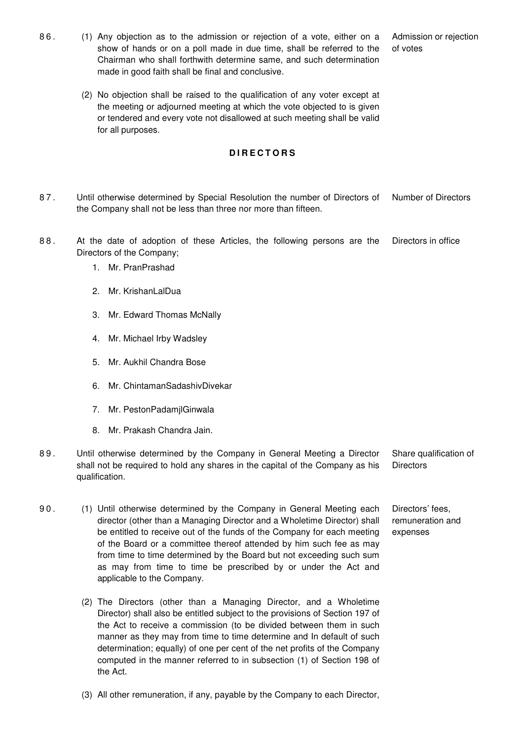- 8 6 . (1) Any objection as to the admission or rejection of a vote, either on a show of hands or on a poll made in due time, shall be referred to the Chairman who shall forthwith determine same, and such determination made in good faith shall be final and conclusive.
	- (2) No objection shall be raised to the qualification of any voter except at the meeting or adjourned meeting at which the vote objected to is given or tendered and every vote not disallowed at such meeting shall be valid for all purposes.

#### **D I R E C T O R S**

- 8 7 . Until otherwise determined by Special Resolution the number of Directors of the Company shall not be less than three nor more than fifteen. Number of Directors
- 88. At the date of adoption of these Articles, the following persons are the Directors of the Company; Directors in office
	- 1. Mr. PranPrashad
	- 2. Mr. KrishanLalDua
	- 3. Mr. Edward Thomas McNally
	- 4. Mr. Michael Irby Wadsley
	- 5. Mr. Aukhil Chandra Bose
	- 6. Mr. ChintamanSadashivDivekar
	- 7. Mr. PestonPadamjlGinwala
	- 8. Mr. Prakash Chandra Jain.
- 8 9 . Until otherwise determined by the Company in General Meeting a Director shall not be required to hold any shares in the capital of the Company as his qualification. Share qualification of **Directors**
- 90. (1) Until otherwise determined by the Company in General Meeting each director (other than a Managing Director and a Wholetime Director) shall be entitled to receive out of the funds of the Company for each meeting of the Board or a committee thereof attended by him such fee as may from time to time determined by the Board but not exceeding such sum as may from time to time be prescribed by or under the Act and applicable to the Company.
	- (2) The Directors (other than a Managing Director, and a Wholetime Director) shall also be entitled subject to the provisions of Section 197 of the Act to receive a commission (to be divided between them in such manner as they may from time to time determine and In default of such determination; equally) of one per cent of the net profits of the Company computed in the manner referred to in subsection (1) of Section 198 of the Act.
	- (3) All other remuneration, if any, payable by the Company to each Director,

Admission or rejection of votes

Directors' fees,

remuneration and expenses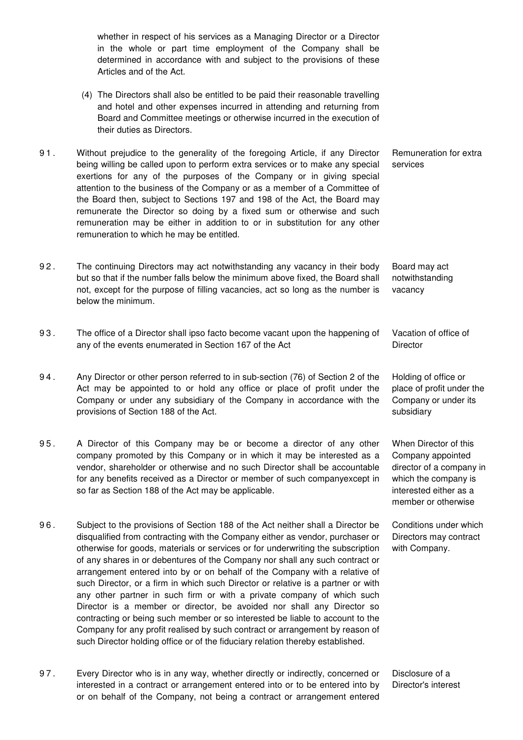whether in respect of his services as a Managing Director or a Director in the whole or part time employment of the Company shall be determined in accordance with and subject to the provisions of these Articles and of the Act.

- (4) The Directors shall also be entitled to be paid their reasonable travelling and hotel and other expenses incurred in attending and returning from Board and Committee meetings or otherwise incurred in the execution of their duties as Directors.
- 9 1 . Without prejudice to the generality of the foregoing Article, if any Director being willing be called upon to perform extra services or to make any special exertions for any of the purposes of the Company or in giving special attention to the business of the Company or as a member of a Committee of the Board then, subject to Sections 197 and 198 of the Act, the Board may remunerate the Director so doing by a fixed sum or otherwise and such remuneration may be either in addition to or in substitution for any other remuneration to which he may be entitled. services
- 9 2 . The continuing Directors may act notwithstanding any vacancy in their body but so that if the number falls below the minimum above fixed, the Board shall not, except for the purpose of filling vacancies, act so long as the number is below the minimum.
- 9 3 . The office of a Director shall ipso facto become vacant upon the happening of any of the events enumerated in Section 167 of the Act
- 9 4 . Any Director or other person referred to in sub-section (76) of Section 2 of the Act may be appointed to or hold any office or place of profit under the Company or under any subsidiary of the Company in accordance with the provisions of Section 188 of the Act.
- 95. A Director of this Company may be or become a director of any other company promoted by this Company or in which it may be interested as a vendor, shareholder or otherwise and no such Director shall be accountable for any benefits received as a Director or member of such companyexcept in so far as Section 188 of the Act may be applicable.
- 9 6 . Subject to the provisions of Section 188 of the Act neither shall a Director be disqualified from contracting with the Company either as vendor, purchaser or otherwise for goods, materials or services or for underwriting the subscription of any shares in or debentures of the Company nor shall any such contract or arrangement entered into by or on behalf of the Company with a relative of such Director, or a firm in which such Director or relative is a partner or with any other partner in such firm or with a private company of which such Director is a member or director, be avoided nor shall any Director so contracting or being such member or so interested be liable to account to the Company for any profit realised by such contract or arrangement by reason of such Director holding office or of the fiduciary relation thereby established.
- 9 7 . Every Director who is in any way, whether directly or indirectly, concerned or interested in a contract or arrangement entered into or to be entered into by or on behalf of the Company, not being a contract or arrangement entered Disclosure of a Director's interest

Remuneration for extra

Board may act notwithstanding vacancy

Vacation of office of **Director** 

Holding of office or place of profit under the Company or under its subsidiary

When Director of this Company appointed director of a company in which the company is interested either as a member or otherwise

Conditions under which Directors may contract with Company.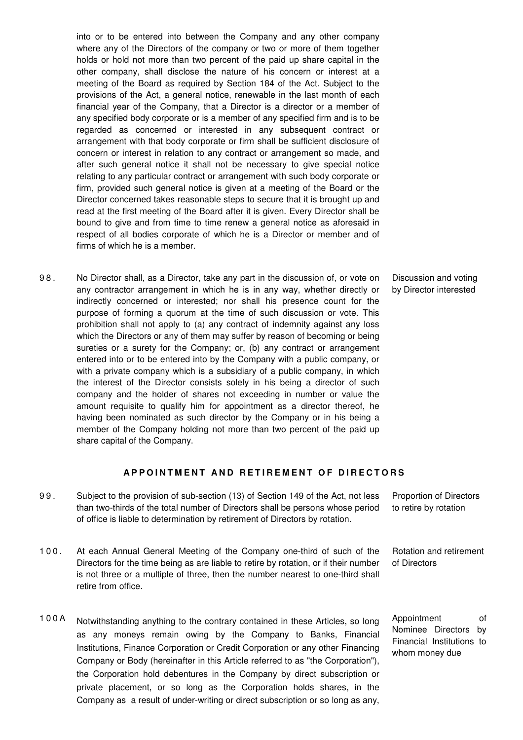into or to be entered into between the Company and any other company where any of the Directors of the company or two or more of them together holds or hold not more than two percent of the paid up share capital in the other company, shall disclose the nature of his concern or interest at a meeting of the Board as required by Section 184 of the Act. Subject to the provisions of the Act, a general notice, renewable in the last month of each financial year of the Company, that a Director is a director or a member of any specified body corporate or is a member of any specified firm and is to be regarded as concerned or interested in any subsequent contract or arrangement with that body corporate or firm shall be sufficient disclosure of concern or interest in relation to any contract or arrangement so made, and after such general notice it shall not be necessary to give special notice relating to any particular contract or arrangement with such body corporate or firm, provided such general notice is given at a meeting of the Board or the Director concerned takes reasonable steps to secure that it is brought up and read at the first meeting of the Board after it is given. Every Director shall be bound to give and from time to time renew a general notice as aforesaid in respect of all bodies corporate of which he is a Director or member and of firms of which he is a member.

9 8 . No Director shall, as a Director, take any part in the discussion of, or vote on any contractor arrangement in which he is in any way, whether directly or indirectly concerned or interested; nor shall his presence count for the purpose of forming a quorum at the time of such discussion or vote. This prohibition shall not apply to (a) any contract of indemnity against any loss which the Directors or any of them may suffer by reason of becoming or being sureties or a surety for the Company; or, (b) any contract or arrangement entered into or to be entered into by the Company with a public company, or with a private company which is a subsidiary of a public company, in which the interest of the Director consists solely in his being a director of such company and the holder of shares not exceeding in number or value the amount requisite to qualify him for appointment as a director thereof, he having been nominated as such director by the Company or in his being a member of the Company holding not more than two percent of the paid up share capital of the Company.

#### Discussion and voting by Director interested

### **APPOINTMENT AND RETIREMENT OF DIRECTORS**

- 9 9 . Subject to the provision of sub-section (13) of Section 149 of the Act, not less than two-thirds of the total number of Directors shall be persons whose period of office is liable to determination by retirement of Directors by rotation. Proportion of Directors to retire by rotation
- 1 0 0 . At each Annual General Meeting of the Company one-third of such of the Directors for the time being as are liable to retire by rotation, or if their number is not three or a multiple of three, then the number nearest to one-third shall retire from office. Rotation and retirement of Directors
- 1 0 0 A Notwithstanding anything to the contrary contained in these Articles, so long as any moneys remain owing by the Company to Banks, Financial Institutions, Finance Corporation or Credit Corporation or any other Financing Company or Body (hereinafter in this Article referred to as "the Corporation"), the Corporation hold debentures in the Company by direct subscription or private placement, or so long as the Corporation holds shares, in the Company as a result of under-writing or direct subscription or so long as any,

Appointment of Nominee Directors by Financial Institutions to whom money due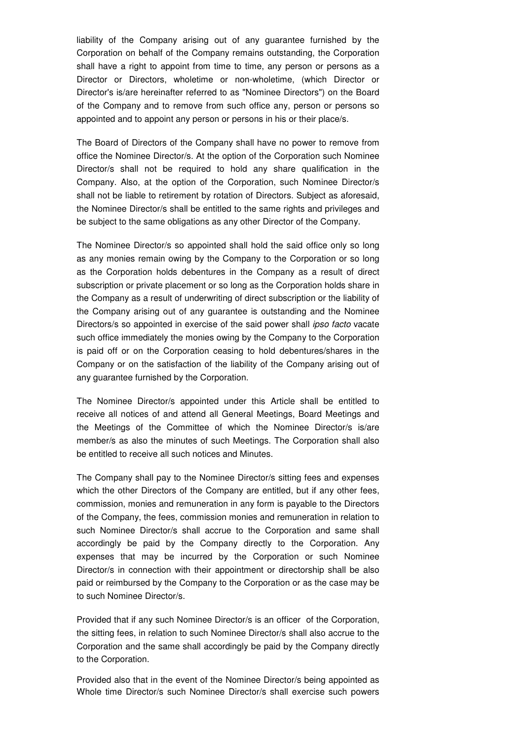liability of the Company arising out of any guarantee furnished by the Corporation on behalf of the Company remains outstanding, the Corporation shall have a right to appoint from time to time, any person or persons as a Director or Directors, wholetime or non-wholetime, (which Director or Director's is/are hereinafter referred to as "Nominee Directors") on the Board of the Company and to remove from such office any, person or persons so appointed and to appoint any person or persons in his or their place/s.

The Board of Directors of the Company shall have no power to remove from office the Nominee Director/s. At the option of the Corporation such Nominee Director/s shall not be required to hold any share qualification in the Company. Also, at the option of the Corporation, such Nominee Director/s shall not be liable to retirement by rotation of Directors. Subject as aforesaid, the Nominee Director/s shall be entitled to the same rights and privileges and be subject to the same obligations as any other Director of the Company.

The Nominee Director/s so appointed shall hold the said office only so long as any monies remain owing by the Company to the Corporation or so long as the Corporation holds debentures in the Company as a result of direct subscription or private placement or so long as the Corporation holds share in the Company as a result of underwriting of direct subscription or the liability of the Company arising out of any guarantee is outstanding and the Nominee Directors/s so appointed in exercise of the said power shall *ipso facto* vacate such office immediately the monies owing by the Company to the Corporation is paid off or on the Corporation ceasing to hold debentures/shares in the Company or on the satisfaction of the liability of the Company arising out of any guarantee furnished by the Corporation.

The Nominee Director/s appointed under this Article shall be entitled to receive all notices of and attend all General Meetings, Board Meetings and the Meetings of the Committee of which the Nominee Director/s is/are member/s as also the minutes of such Meetings. The Corporation shall also be entitled to receive all such notices and Minutes.

The Company shall pay to the Nominee Director/s sitting fees and expenses which the other Directors of the Company are entitled, but if any other fees. commission, monies and remuneration in any form is payable to the Directors of the Company, the fees, commission monies and remuneration in relation to such Nominee Director/s shall accrue to the Corporation and same shall accordingly be paid by the Company directly to the Corporation. Any expenses that may be incurred by the Corporation or such Nominee Director/s in connection with their appointment or directorship shall be also paid or reimbursed by the Company to the Corporation or as the case may be to such Nominee Director/s.

Provided that if any such Nominee Director/s is an officer of the Corporation, the sitting fees, in relation to such Nominee Director/s shall also accrue to the Corporation and the same shall accordingly be paid by the Company directly to the Corporation.

Provided also that in the event of the Nominee Director/s being appointed as Whole time Director/s such Nominee Director/s shall exercise such powers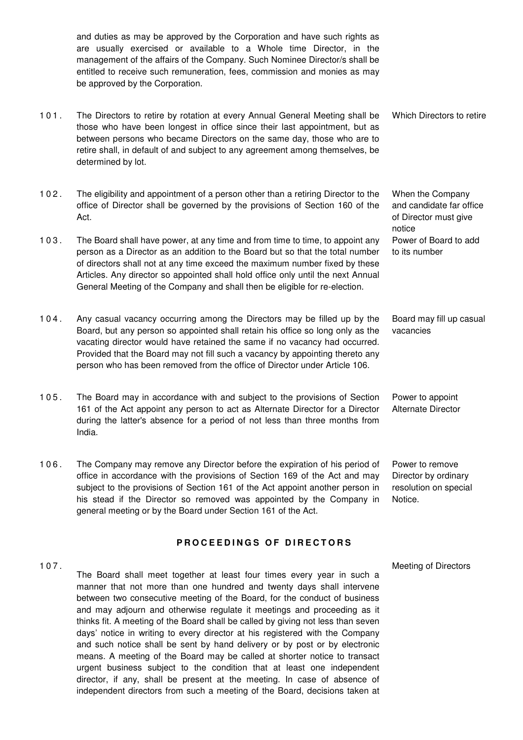and duties as may be approved by the Corporation and have such rights as are usually exercised or available to a Whole time Director, in the management of the affairs of the Company. Such Nominee Director/s shall be entitled to receive such remuneration, fees, commission and monies as may be approved by the Corporation.

- 1 0 1 . The Directors to retire by rotation at every Annual General Meeting shall be those who have been longest in office since their last appointment, but as between persons who became Directors on the same day, those who are to retire shall, in default of and subject to any agreement among themselves, be determined by lot. Which Directors to retire
- 1 0 2 . The eligibility and appointment of a person other than a retiring Director to the office of Director shall be governed by the provisions of Section 160 of the Act.
- 103. The Board shall have power, at any time and from time to time, to appoint any person as a Director as an addition to the Board but so that the total number of directors shall not at any time exceed the maximum number fixed by these Articles. Any director so appointed shall hold office only until the next Annual General Meeting of the Company and shall then be eligible for re-election.
- 1 0 4 . Any casual vacancy occurring among the Directors may be filled up by the Board, but any person so appointed shall retain his office so long only as the vacating director would have retained the same if no vacancy had occurred. Provided that the Board may not fill such a vacancy by appointing thereto any person who has been removed from the office of Director under Article 106. vacancies
- 105. The Board may in accordance with and subject to the provisions of Section 161 of the Act appoint any person to act as Alternate Director for a Director during the latter's absence for a period of not less than three months from India.
- 1 0 6 . The Company may remove any Director before the expiration of his period of office in accordance with the provisions of Section 169 of the Act and may subject to the provisions of Section 161 of the Act appoint another person in his stead if the Director so removed was appointed by the Company in general meeting or by the Board under Section 161 of the Act.

## **PROCEEDINGS OF DIRECTORS**

1 0 7 . The Board shall meet together at least four times every year in such a manner that not more than one hundred and twenty days shall intervene between two consecutive meeting of the Board, for the conduct of business and may adjourn and otherwise regulate it meetings and proceeding as it thinks fit. A meeting of the Board shall be called by giving not less than seven days' notice in writing to every director at his registered with the Company and such notice shall be sent by hand delivery or by post or by electronic means. A meeting of the Board may be called at shorter notice to transact urgent business subject to the condition that at least one independent director, if any, shall be present at the meeting. In case of absence of independent directors from such a meeting of the Board, decisions taken at

When the Company and candidate far office of Director must give notice Power of Board to add to its number

Board may fill up casual

Power to appoint Alternate Director

Power to remove Director by ordinary resolution on special Notice.

Meeting of Directors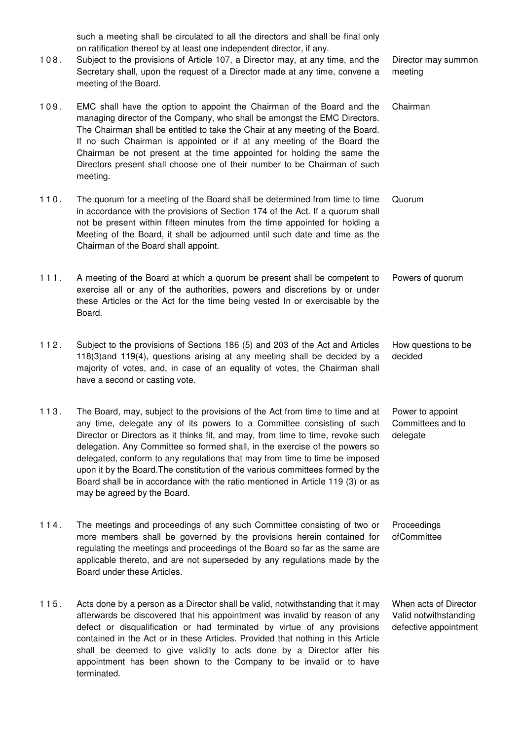such a meeting shall be circulated to all the directors and shall be final only on ratification thereof by at least one independent director, if any.

- 1 0 8 . Subject to the provisions of Article 107, a Director may, at any time, and the Secretary shall, upon the request of a Director made at any time, convene a meeting of the Board. Director may summon meeting
- 109. EMC shall have the option to appoint the Chairman of the Board and the managing director of the Company, who shall be amongst the EMC Directors. The Chairman shall be entitled to take the Chair at any meeting of the Board. If no such Chairman is appointed or if at any meeting of the Board the Chairman be not present at the time appointed for holding the same the Directors present shall choose one of their number to be Chairman of such meeting. Chairman
- 1 1 0 . The quorum for a meeting of the Board shall be determined from time to time in accordance with the provisions of Section 174 of the Act. If a quorum shall not be present within fifteen minutes from the time appointed for holding a Meeting of the Board, it shall be adjourned until such date and time as the Chairman of the Board shall appoint. Quorum
- 1 1 1 . A meeting of the Board at which a quorum be present shall be competent to exercise all or any of the authorities, powers and discretions by or under these Articles or the Act for the time being vested In or exercisable by the Board. Powers of quorum
- 1 1 2 . Subject to the provisions of Sections 186 (5) and 203 of the Act and Articles 118(3)and 119(4), questions arising at any meeting shall be decided by a majority of votes, and, in case of an equality of votes, the Chairman shall have a second or casting vote. How questions to be decided
- 1 1 3 . The Board, may, subject to the provisions of the Act from time to time and at any time, delegate any of its powers to a Committee consisting of such Director or Directors as it thinks fit, and may, from time to time, revoke such delegation. Any Committee so formed shall, in the exercise of the powers so delegated, conform to any regulations that may from time to time be imposed upon it by the Board.The constitution of the various committees formed by the Board shall be in accordance with the ratio mentioned in Article 119 (3) or as may be agreed by the Board. Power to appoint Committees and to delegate
- 1 1 4 . The meetings and proceedings of any such Committee consisting of two or more members shall be governed by the provisions herein contained for regulating the meetings and proceedings of the Board so far as the same are applicable thereto, and are not superseded by any regulations made by the Board under these Articles. **Proceedings** ofCommittee
- 1 1 5 . Acts done by a person as a Director shall be valid, notwithstanding that it may afterwards be discovered that his appointment was invalid by reason of any defect or disqualification or had terminated by virtue of any provisions contained in the Act or in these Articles. Provided that nothing in this Article shall be deemed to give validity to acts done by a Director after his appointment has been shown to the Company to be invalid or to have terminated.

When acts of Director Valid notwithstanding defective appointment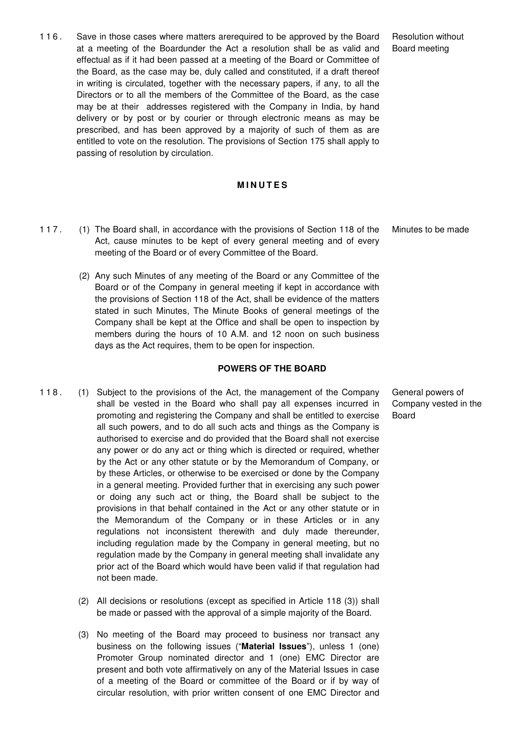1 1 6 . Save in those cases where matters arerequired to be approved by the Board at a meeting of the Boardunder the Act a resolution shall be as valid and effectual as if it had been passed at a meeting of the Board or Committee of the Board, as the case may be, duly called and constituted, if a draft thereof in writing is circulated, together with the necessary papers, if any, to all the Directors or to all the members of the Committee of the Board, as the case may be at their addresses registered with the Company in India, by hand delivery or by post or by courier or through electronic means as may be prescribed, and has been approved by a majority of such of them as are entitled to vote on the resolution. The provisions of Section 175 shall apply to passing of resolution by circulation.

#### **M I N U T E S**

- 1 1 7 . (1) The Board shall, in accordance with the provisions of Section 118 of the Act, cause minutes to be kept of every general meeting and of every meeting of the Board or of every Committee of the Board.
	- (2) Any such Minutes of any meeting of the Board or any Committee of the Board or of the Company in general meeting if kept in accordance with the provisions of Section 118 of the Act, shall be evidence of the matters stated in such Minutes, The Minute Books of general meetings of the Company shall be kept at the Office and shall be open to inspection by members during the hours of 10 A.M. and 12 noon on such business days as the Act requires, them to be open for inspection.

#### **POWERS OF THE BOARD**

- 118. (1) Subject to the provisions of the Act, the management of the Company shall be vested in the Board who shall pay all expenses incurred in promoting and registering the Company and shall be entitled to exercise all such powers, and to do all such acts and things as the Company is authorised to exercise and do provided that the Board shall not exercise any power or do any act or thing which is directed or required, whether by the Act or any other statute or by the Memorandum of Company, or by these Articles, or otherwise to be exercised or done by the Company in a general meeting. Provided further that in exercising any such power or doing any such act or thing, the Board shall be subject to the provisions in that behalf contained in the Act or any other statute or in the Memorandum of the Company or in these Articles or in any regulations not inconsistent therewith and duly made thereunder, including regulation made by the Company in general meeting, but no regulation made by the Company in general meeting shall invalidate any prior act of the Board which would have been valid if that regulation had not been made.
	- (2) All decisions or resolutions (except as specified in Article 118 (3)) shall be made or passed with the approval of a simple majority of the Board.
	- (3) No meeting of the Board may proceed to business nor transact any business on the following issues ("**Material Issues**"), unless 1 (one) Promoter Group nominated director and 1 (one) EMC Director are present and both vote affirmatively on any of the Material Issues in case of a meeting of the Board or committee of the Board or if by way of circular resolution, with prior written consent of one EMC Director and

Resolution without Board meeting

Minutes to be made

General powers of Company vested in the Board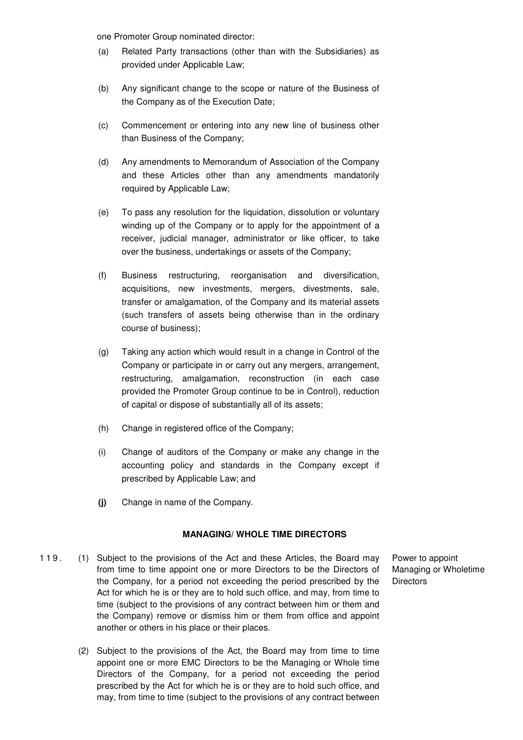one Promoter Group nominated director:

- (a) Related Party transactions (other than with the Subsidiaries) as provided under Applicable Law;
- (b) Any significant change to the scope or nature of the Business of the Company as of the Execution Date;
- (c) Commencement or entering into any new line of business other than Business of the Company;
- (d) Any amendments to Memorandum of Association of the Company and these Articles other than any amendments mandatorily required by Applicable Law;
- (e) To pass any resolution for the liquidation, dissolution or voluntary winding up of the Company or to apply for the appointment of a receiver, judicial manager, administrator or like officer, to take over the business, undertakings or assets of the Company;
- (f) Business restructuring, reorganisation and diversification, acquisitions, new investments, mergers, divestments, sale, transfer or amalgamation, of the Company and its material assets (such transfers of assets being otherwise than in the ordinary course of business);
- (g) Taking any action which would result in a change in Control of the Company or participate in or carry out any mergers, arrangement, restructuring, amalgamation, reconstruction (in each case provided the Promoter Group continue to be in Control), reduction of capital or dispose of substantially all of its assets;
- (h) Change in registered office of the Company;
- (i) Change of auditors of the Company or make any change in the accounting policy and standards in the Company except if prescribed by Applicable Law; and
- **(j)** Change in name of the Company.

### **MANAGING/ WHOLE TIME DIRECTORS**

- 119. (1) Subject to the provisions of the Act and these Articles, the Board may from time to time appoint one or more Directors to be the Directors of the Company, for a period not exceeding the period prescribed by the Act for which he is or they are to hold such office, and may, from time to time (subject to the provisions of any contract between him or them and the Company) remove or dismiss him or them from office and appoint another or others in his place or their places.
	- (2) Subject to the provisions of the Act, the Board may from time to time appoint one or more EMC Directors to be the Managing or Whole time Directors of the Company, for a period not exceeding the period prescribed by the Act for which he is or they are to hold such office, and may, from time to time (subject to the provisions of any contract between

Power to appoint Managing or Wholetime **Directors**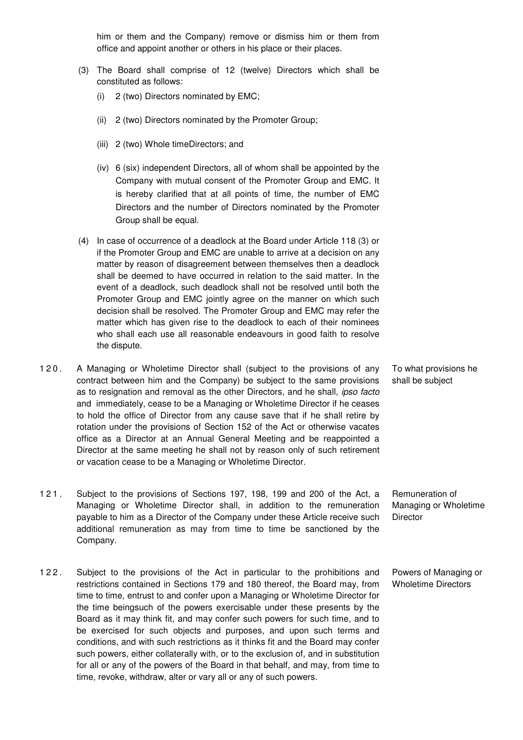him or them and the Company) remove or dismiss him or them from office and appoint another or others in his place or their places.

- (3) The Board shall comprise of 12 (twelve) Directors which shall be constituted as follows:
	- (i) 2 (two) Directors nominated by EMC;
	- (ii) 2 (two) Directors nominated by the Promoter Group;
	- (iii) 2 (two) Whole timeDirectors; and
	- (iv) 6 (six) independent Directors, all of whom shall be appointed by the Company with mutual consent of the Promoter Group and EMC. It is hereby clarified that at all points of time, the number of EMC Directors and the number of Directors nominated by the Promoter Group shall be equal.
- (4) In case of occurrence of a deadlock at the Board under Article 118 (3) or if the Promoter Group and EMC are unable to arrive at a decision on any matter by reason of disagreement between themselves then a deadlock shall be deemed to have occurred in relation to the said matter. In the event of a deadlock, such deadlock shall not be resolved until both the Promoter Group and EMC jointly agree on the manner on which such decision shall be resolved. The Promoter Group and EMC may refer the matter which has given rise to the deadlock to each of their nominees who shall each use all reasonable endeavours in good faith to resolve the dispute.
- 120. A Managing or Wholetime Director shall (subject to the provisions of any contract between him and the Company) be subject to the same provisions as to resignation and removal as the other Directors, and he shall, ipso facto and immediately, cease to be a Managing or Wholetime Director if he ceases to hold the office of Director from any cause save that if he shall retire by rotation under the provisions of Section 152 of the Act or otherwise vacates office as a Director at an Annual General Meeting and be reappointed a Director at the same meeting he shall not by reason only of such retirement or vacation cease to be a Managing or Wholetime Director.
- 1 2 1 . Subject to the provisions of Sections 197, 198, 199 and 200 of the Act, a Managing or Wholetime Director shall, in addition to the remuneration payable to him as a Director of the Company under these Article receive such additional remuneration as may from time to time be sanctioned by the Company. Remuneration of Managing or Wholetime **Director**
- 122. Subject to the provisions of the Act in particular to the prohibitions and restrictions contained in Sections 179 and 180 thereof, the Board may, from time to time, entrust to and confer upon a Managing or Wholetime Director for the time beingsuch of the powers exercisable under these presents by the Board as it may think fit, and may confer such powers for such time, and to be exercised for such objects and purposes, and upon such terms and conditions, and with such restrictions as it thinks fit and the Board may confer such powers, either collaterally with, or to the exclusion of, and in substitution for all or any of the powers of the Board in that behalf, and may, from time to time, revoke, withdraw, alter or vary all or any of such powers.

To what provisions he shall be subject

Powers of Managing or Wholetime Directors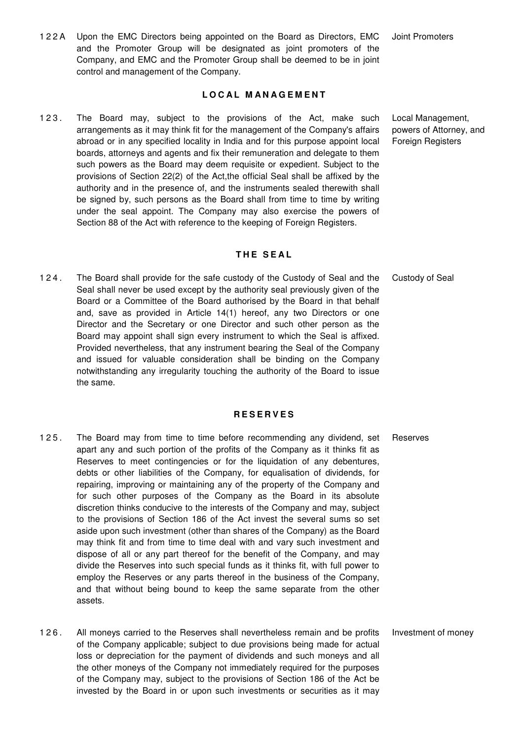1 2 2 A Upon the EMC Directors being appointed on the Board as Directors, EMC and the Promoter Group will be designated as joint promoters of the Company, and EMC and the Promoter Group shall be deemed to be in joint control and management of the Company.

### **L O C A L M A N A G E M E N T**

123. The Board may, subject to the provisions of the Act, make such arrangements as it may think fit for the management of the Company's affairs abroad or in any specified locality in India and for this purpose appoint local boards, attorneys and agents and fix their remuneration and delegate to them such powers as the Board may deem requisite or expedient. Subject to the provisions of Section 22(2) of the Act,the official Seal shall be affixed by the authority and in the presence of, and the instruments sealed therewith shall be signed by, such persons as the Board shall from time to time by writing under the seal appoint. The Company may also exercise the powers of Section 88 of the Act with reference to the keeping of Foreign Registers.

### **T H E S E A L**

1 2 4 . The Board shall provide for the safe custody of the Custody of Seal and the Seal shall never be used except by the authority seal previously given of the Board or a Committee of the Board authorised by the Board in that behalf and, save as provided in Article 14(1) hereof, any two Directors or one Director and the Secretary or one Director and such other person as the Board may appoint shall sign every instrument to which the Seal is affixed. Provided nevertheless, that any instrument bearing the Seal of the Company and issued for valuable consideration shall be binding on the Company notwithstanding any irregularity touching the authority of the Board to issue the same.

#### **R E S E R V E S**

- 125. The Board may from time to time before recommending any dividend, set apart any and such portion of the profits of the Company as it thinks fit as Reserves to meet contingencies or for the liquidation of any debentures, debts or other liabilities of the Company, for equalisation of dividends, for repairing, improving or maintaining any of the property of the Company and for such other purposes of the Company as the Board in its absolute discretion thinks conducive to the interests of the Company and may, subject to the provisions of Section 186 of the Act invest the several sums so set aside upon such investment (other than shares of the Company) as the Board may think fit and from time to time deal with and vary such investment and dispose of all or any part thereof for the benefit of the Company, and may divide the Reserves into such special funds as it thinks fit, with full power to employ the Reserves or any parts thereof in the business of the Company, and that without being bound to keep the same separate from the other assets.
- 1 2 6 . All moneys carried to the Reserves shall nevertheless remain and be profits of the Company applicable; subject to due provisions being made for actual loss or depreciation for the payment of dividends and such moneys and all the other moneys of the Company not immediately required for the purposes of the Company may, subject to the provisions of Section 186 of the Act be invested by the Board in or upon such investments or securities as it may

Joint Promoters

Local Management, powers of Attorney, and Foreign Registers

Custody of Seal

Reserves

Investment of money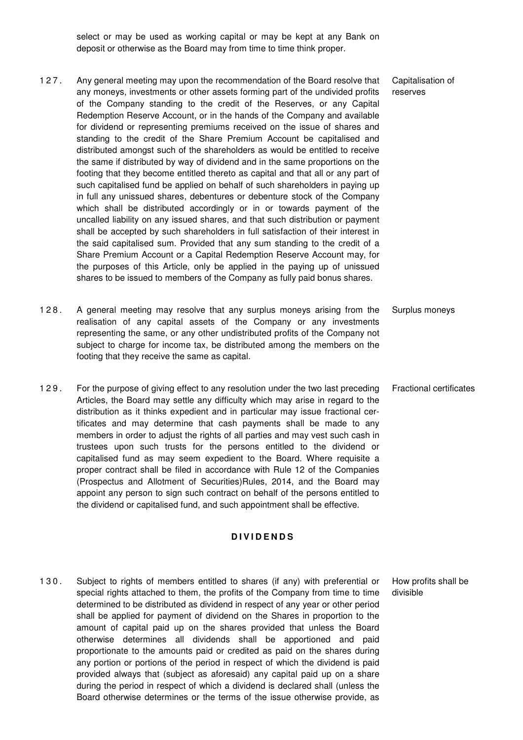select or may be used as working capital or may be kept at any Bank on deposit or otherwise as the Board may from time to time think proper.

- 1 2 7 . Any general meeting may upon the recommendation of the Board resolve that any moneys, investments or other assets forming part of the undivided profits of the Company standing to the credit of the Reserves, or any Capital Redemption Reserve Account, or in the hands of the Company and available for dividend or representing premiums received on the issue of shares and standing to the credit of the Share Premium Account be capitalised and distributed amongst such of the shareholders as would be entitled to receive the same if distributed by way of dividend and in the same proportions on the footing that they become entitled thereto as capital and that all or any part of such capitalised fund be applied on behalf of such shareholders in paying up in full any unissued shares, debentures or debenture stock of the Company which shall be distributed accordingly or in or towards payment of the uncalled liability on any issued shares, and that such distribution or payment shall be accepted by such shareholders in full satisfaction of their interest in the said capitalised sum. Provided that any sum standing to the credit of a Share Premium Account or a Capital Redemption Reserve Account may, for the purposes of this Article, only be applied in the paying up of unissued shares to be issued to members of the Company as fully paid bonus shares.
- 128. A general meeting may resolve that any surplus moneys arising from the realisation of any capital assets of the Company or any investments representing the same, or any other undistributed profits of the Company not subject to charge for income tax, be distributed among the members on the footing that they receive the same as capital. Surplus moneys
- 1 2 9 . For the purpose of giving effect to any resolution under the two last preceding Articles, the Board may settle any difficulty which may arise in regard to the distribution as it thinks expedient and in particular may issue fractional certificates and may determine that cash payments shall be made to any members in order to adjust the rights of all parties and may vest such cash in trustees upon such trusts for the persons entitled to the dividend or capitalised fund as may seem expedient to the Board. Where requisite a proper contract shall be filed in accordance with Rule 12 of the Companies (Prospectus and Allotment of Securities)Rules, 2014, and the Board may appoint any person to sign such contract on behalf of the persons entitled to the dividend or capitalised fund, and such appointment shall be effective.

### **D I V I D E N D S**

130. Subject to rights of members entitled to shares (if any) with preferential or special rights attached to them, the profits of the Company from time to time determined to be distributed as dividend in respect of any year or other period shall be applied for payment of dividend on the Shares in proportion to the amount of capital paid up on the shares provided that unless the Board otherwise determines all dividends shall be apportioned and paid proportionate to the amounts paid or credited as paid on the shares during any portion or portions of the period in respect of which the dividend is paid provided always that (subject as aforesaid) any capital paid up on a share during the period in respect of which a dividend is declared shall (unless the Board otherwise determines or the terms of the issue otherwise provide, as

Capitalisation of reserves

Fractional certificates

How profits shall be divisible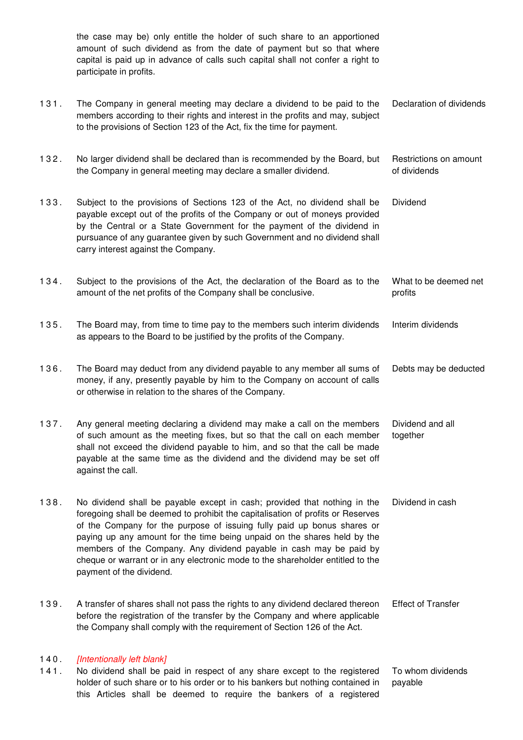the case may be) only entitle the holder of such share to an apportioned amount of such dividend as from the date of payment but so that where capital is paid up in advance of calls such capital shall not confer a right to participate in profits. 1 3 1 . The Company in general meeting may declare a dividend to be paid to the members according to their rights and interest in the profits and may, subject to the provisions of Section 123 of the Act, fix the time for payment. Declaration of dividends 1 3 2 . No larger dividend shall be declared than is recommended by the Board, but the Company in general meeting may declare a smaller dividend. Restrictions on amount of dividends 1 3 3 . Subject to the provisions of Sections 123 of the Act, no dividend shall be payable except out of the profits of the Company or out of moneys provided by the Central or a State Government for the payment of the dividend in pursuance of any guarantee given by such Government and no dividend shall carry interest against the Company. Dividend 1 3 4 . Subject to the provisions of the Act, the declaration of the Board as to the amount of the net profits of the Company shall be conclusive. What to be deemed net profits 1 3 5 . The Board may, from time to time pay to the members such interim dividends as appears to the Board to be justified by the profits of the Company. Interim dividends 1 3 6 . The Board may deduct from any dividend payable to any member all sums of money, if any, presently payable by him to the Company on account of calls or otherwise in relation to the shares of the Company. Debts may be deducted 137. Any general meeting declaring a dividend may make a call on the members of such amount as the meeting fixes, but so that the call on each member shall not exceed the dividend payable to him, and so that the call be made payable at the same time as the dividend and the dividend may be set off against the call. Dividend and all together 138. No dividend shall be payable except in cash; provided that nothing in the foregoing shall be deemed to prohibit the capitalisation of profits or Reserves of the Company for the purpose of issuing fully paid up bonus shares or paying up any amount for the time being unpaid on the shares held by the members of the Company. Any dividend payable in cash may be paid by cheque or warrant or in any electronic mode to the shareholder entitled to the payment of the dividend. Dividend in cash 1 3 9 . A transfer of shares shall not pass the rights to any dividend declared thereon before the registration of the transfer by the Company and where applicable the Company shall comply with the requirement of Section 126 of the Act. Effect of Transfer 140 [Intentionally left blank] 1 4 1 . No dividend shall be paid in respect of any share except to the registered holder of such share or to his order or to his bankers but nothing contained in To whom dividends payable

this Articles shall be deemed to require the bankers of a registered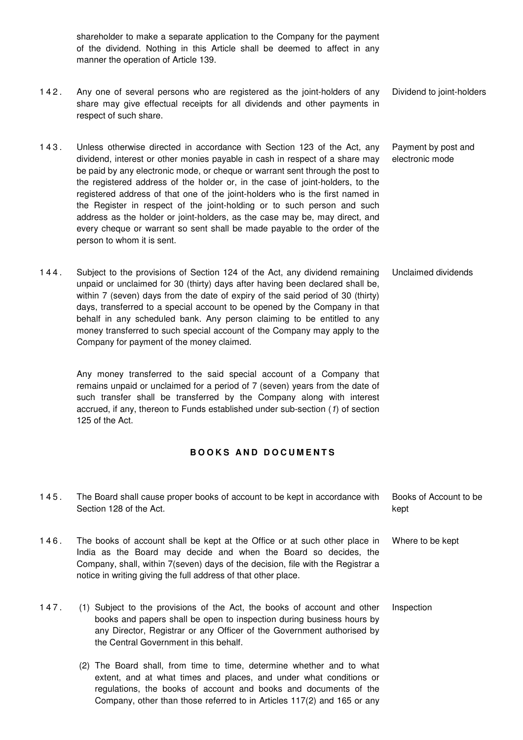shareholder to make a separate application to the Company for the payment of the dividend. Nothing in this Article shall be deemed to affect in any manner the operation of Article 139.

- 142. Any one of several persons who are registered as the joint-holders of any share may give effectual receipts for all dividends and other payments in respect of such share. Dividend to joint-holders
- 143. Unless otherwise directed in accordance with Section 123 of the Act, any dividend, interest or other monies payable in cash in respect of a share may be paid by any electronic mode, or cheque or warrant sent through the post to the registered address of the holder or, in the case of joint-holders, to the registered address of that one of the joint-holders who is the first named in the Register in respect of the joint-holding or to such person and such address as the holder or joint-holders, as the case may be, may direct, and every cheque or warrant so sent shall be made payable to the order of the person to whom it is sent. Payment by post and electronic mode
- 1 4 4 . Subject to the provisions of Section 124 of the Act, any dividend remaining unpaid or unclaimed for 30 (thirty) days after having been declared shall be, within 7 (seven) days from the date of expiry of the said period of 30 (thirty) days, transferred to a special account to be opened by the Company in that behalf in any scheduled bank. Any person claiming to be entitled to any money transferred to such special account of the Company may apply to the Company for payment of the money claimed. Unclaimed dividends

Any money transferred to the said special account of a Company that remains unpaid or unclaimed for a period of 7 (seven) years from the date of such transfer shall be transferred by the Company along with interest accrued, if any, thereon to Funds established under sub-section (1) of section 125 of the Act.

## **B O O K S A N D D O C U M E N T S**

| 145. | The Board shall cause proper books of account to be kept in accordance with<br>Section 128 of the Act.                                                                                                                                                                                              | Books of Account to be<br>kept |
|------|-----------------------------------------------------------------------------------------------------------------------------------------------------------------------------------------------------------------------------------------------------------------------------------------------------|--------------------------------|
| 146. | The books of account shall be kept at the Office or at such other place in<br>India as the Board may decide and when the Board so decides, the<br>Company, shall, within 7(seven) days of the decision, file with the Registrar a<br>notice in writing giving the full address of that other place. | Where to be kept               |
| 147. | (1) Subject to the provisions of the Act, the books of account and other<br>books and papers shall be open to inspection during business hours by<br>any Director, Registrar or any Officer of the Government authorised by<br>the Central Government in this behalf.                               | Inspection                     |

(2) The Board shall, from time to time, determine whether and to what extent, and at what times and places, and under what conditions or regulations, the books of account and books and documents of the Company, other than those referred to in Articles 117(2) and 165 or any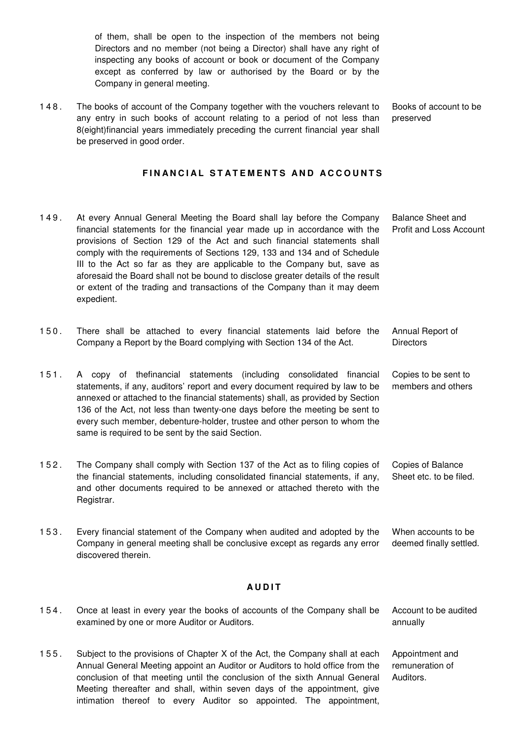of them, shall be open to the inspection of the members not being Directors and no member (not being a Director) shall have any right of inspecting any books of account or book or document of the Company except as conferred by law or authorised by the Board or by the Company in general meeting.

1 4 8 . The books of account of the Company together with the vouchers relevant to any entry in such books of account relating to a period of not less than 8(eight)financial years immediately preceding the current financial year shall be preserved in good order. Books of account to be preserved

### **FINANCIAL STATEMENTS AND ACCOUNTS**

- 149. At every Annual General Meeting the Board shall lay before the Company financial statements for the financial year made up in accordance with the provisions of Section 129 of the Act and such financial statements shall comply with the requirements of Sections 129, 133 and 134 and of Schedule III to the Act so far as they are applicable to the Company but, save as aforesaid the Board shall not be bound to disclose greater details of the result or extent of the trading and transactions of the Company than it may deem expedient. Balance Sheet and Profit and Loss Account
- 150. There shall be attached to every financial statements laid before the Company a Report by the Board complying with Section 134 of the Act. Annual Report of **Directors**
- 1 5 1 . A copy of thefinancial statements (including consolidated financial statements, if any, auditors' report and every document required by law to be annexed or attached to the financial statements) shall, as provided by Section 136 of the Act, not less than twenty-one days before the meeting be sent to every such member, debenture-holder, trustee and other person to whom the same is required to be sent by the said Section. Copies to be sent to members and others
- 1 5 2 . The Company shall comply with Section 137 of the Act as to filing copies of the financial statements, including consolidated financial statements, if any, and other documents required to be annexed or attached thereto with the Registrar. Copies of Balance Sheet etc. to be filed.
- 1 5 3 . Every financial statement of the Company when audited and adopted by the Company in general meeting shall be conclusive except as regards any error discovered therein. When accounts to be deemed finally settled.

#### **A U D I T**

1 5 4 . Once at least in every year the books of accounts of the Company shall be examined by one or more Auditor or Auditors. Account to be audited annually 1 5 5 . Subject to the provisions of Chapter X of the Act, the Company shall at each Annual General Meeting appoint an Auditor or Auditors to hold office from the conclusion of that meeting until the conclusion of the sixth Annual General Appointment and remuneration of Auditors.

Meeting thereafter and shall, within seven days of the appointment, give intimation thereof to every Auditor so appointed. The appointment,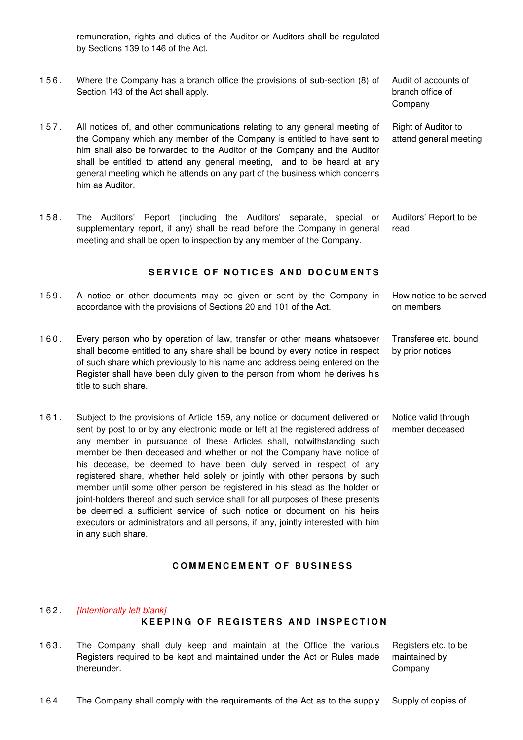remuneration, rights and duties of the Auditor or Auditors shall be regulated by Sections 139 to 146 of the Act.

- 1 5 6 . Where the Company has a branch office the provisions of sub-section (8) of Section 143 of the Act shall apply.
- 1 5 7 . All notices of, and other communications relating to any general meeting of the Company which any member of the Company is entitled to have sent to him shall also be forwarded to the Auditor of the Company and the Auditor shall be entitled to attend any general meeting, and to be heard at any general meeting which he attends on any part of the business which concerns him as Auditor.
- 1 5 8 . The Auditors' Report (including the Auditors' separate, special or supplementary report, if any) shall be read before the Company in general meeting and shall be open to inspection by any member of the Company. Auditors' Report to be

SERVICE OF NOTICES AND DOCUMENTS

- 159. A notice or other documents may be given or sent by the Company in accordance with the provisions of Sections 20 and 101 of the Act. How notice to be served on members
- 160. Every person who by operation of law, transfer or other means whatsoever shall become entitled to any share shall be bound by every notice in respect of such share which previously to his name and address being entered on the Register shall have been duly given to the person from whom he derives his title to such share.
- 1 6 1 . Subject to the provisions of Article 159, any notice or document delivered or sent by post to or by any electronic mode or left at the registered address of any member in pursuance of these Articles shall, notwithstanding such member be then deceased and whether or not the Company have notice of his decease, be deemed to have been duly served in respect of any registered share, whether held solely or jointly with other persons by such member until some other person be registered in his stead as the holder or joint-holders thereof and such service shall for all purposes of these presents be deemed a sufficient service of such notice or document on his heirs executors or administrators and all persons, if any, jointly interested with him in any such share.

163. The Company shall duly keep and maintain at the Office the various

Registers required to be kept and maintained under the Act or Rules made

162. [Intentionally left blank]

thereunder.

### **C O M M E N C E M E N T O F B U S I N E S S**

**KEEPING OF REGISTERS AND INSPECTION** 

## Registers etc. to be maintained by Company

1 6 4 . The Company shall comply with the requirements of the Act as to the supply Supply of copies of

Right of Auditor to attend general meeting

Audit of accounts of branch office of Company

read

Transferee etc. bound by prior notices

Notice valid through member deceased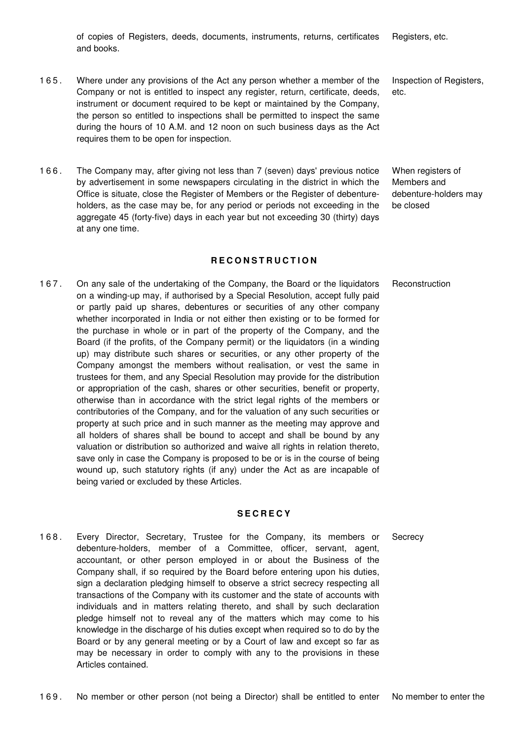of copies of Registers, deeds, documents, instruments, returns, certificates and books. Registers, etc.

- 1 6 5 . Where under any provisions of the Act any person whether a member of the Company or not is entitled to inspect any register, return, certificate, deeds, instrument or document required to be kept or maintained by the Company, the person so entitled to inspections shall be permitted to inspect the same during the hours of 10 A.M. and 12 noon on such business days as the Act requires them to be open for inspection.
- 1 6 6 . The Company may, after giving not less than 7 (seven) days' previous notice by advertisement in some newspapers circulating in the district in which the Office is situate, close the Register of Members or the Register of debentureholders, as the case may be, for any period or periods not exceeding in the aggregate 45 (forty-five) days in each year but not exceeding 30 (thirty) days at any one time.

## **R E C O N S T R U C T I O N**

**Reconstruction** 

1 6 7 . On any sale of the undertaking of the Company, the Board or the liquidators on a winding-up may, if authorised by a Special Resolution, accept fully paid or partly paid up shares, debentures or securities of any other company whether incorporated in India or not either then existing or to be formed for the purchase in whole or in part of the property of the Company, and the Board (if the profits, of the Company permit) or the liquidators (in a winding up) may distribute such shares or securities, or any other property of the Company amongst the members without realisation, or vest the same in trustees for them, and any Special Resolution may provide for the distribution or appropriation of the cash, shares or other securities, benefit or property, otherwise than in accordance with the strict legal rights of the members or contributories of the Company, and for the valuation of any such securities or property at such price and in such manner as the meeting may approve and all holders of shares shall be bound to accept and shall be bound by any valuation or distribution so authorized and waive all rights in relation thereto, save only in case the Company is proposed to be or is in the course of being wound up, such statutory rights (if any) under the Act as are incapable of being varied or excluded by these Articles.

#### **S E C R E C Y**

- **Secrecy**
- 1 6 8 . Every Director, Secretary, Trustee for the Company, its members or debenture-holders, member of a Committee, officer, servant, agent, accountant, or other person employed in or about the Business of the Company shall, if so required by the Board before entering upon his duties, sign a declaration pledging himself to observe a strict secrecy respecting all transactions of the Company with its customer and the state of accounts with individuals and in matters relating thereto, and shall by such declaration pledge himself not to reveal any of the matters which may come to his knowledge in the discharge of his duties except when required so to do by the Board or by any general meeting or by a Court of law and except so far as may be necessary in order to comply with any to the provisions in these Articles contained.

Inspection of Registers, etc.

When registers of Members and debenture-holders may be closed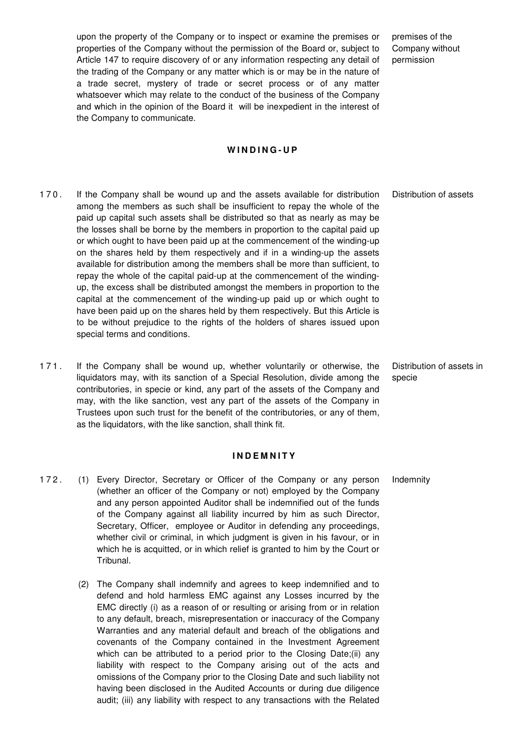upon the property of the Company or to inspect or examine the premises or properties of the Company without the permission of the Board or, subject to Article 147 to require discovery of or any information respecting any detail of the trading of the Company or any matter which is or may be in the nature of a trade secret, mystery of trade or secret process or of any matter whatsoever which may relate to the conduct of the business of the Company and which in the opinion of the Board it will be inexpedient in the interest of the Company to communicate.

### **W I N D I N G - U P**

- 1 7 0 . If the Company shall be wound up and the assets available for distribution among the members as such shall be insufficient to repay the whole of the paid up capital such assets shall be distributed so that as nearly as may be the losses shall be borne by the members in proportion to the capital paid up or which ought to have been paid up at the commencement of the winding-up on the shares held by them respectively and if in a winding-up the assets available for distribution among the members shall be more than sufficient, to repay the whole of the capital paid-up at the commencement of the windingup, the excess shall be distributed amongst the members in proportion to the capital at the commencement of the winding-up paid up or which ought to have been paid up on the shares held by them respectively. But this Article is to be without prejudice to the rights of the holders of shares issued upon special terms and conditions.
- 1 7 1 . If the Company shall be wound up, whether voluntarily or otherwise, the liquidators may, with its sanction of a Special Resolution, divide among the contributories, in specie or kind, any part of the assets of the Company and may, with the like sanction, vest any part of the assets of the Company in Trustees upon such trust for the benefit of the contributories, or any of them, as the liquidators, with the like sanction, shall think fit.

#### **I N D E M N I T Y**

- 172. (1) Every Director, Secretary or Officer of the Company or any person (whether an officer of the Company or not) employed by the Company and any person appointed Auditor shall be indemnified out of the funds of the Company against all liability incurred by him as such Director, Secretary, Officer, employee or Auditor in defending any proceedings, whether civil or criminal, in which judgment is given in his favour, or in which he is acquitted, or in which relief is granted to him by the Court or Tribunal.
	- (2) The Company shall indemnify and agrees to keep indemnified and to defend and hold harmless EMC against any Losses incurred by the EMC directly (i) as a reason of or resulting or arising from or in relation to any default, breach, misrepresentation or inaccuracy of the Company Warranties and any material default and breach of the obligations and covenants of the Company contained in the Investment Agreement which can be attributed to a period prior to the Closing Date;(ii) any liability with respect to the Company arising out of the acts and omissions of the Company prior to the Closing Date and such liability not having been disclosed in the Audited Accounts or during due diligence audit; (iii) any liability with respect to any transactions with the Related

premises of the Company without permission

Distribution of assets

Distribution of assets in specie

Indemnity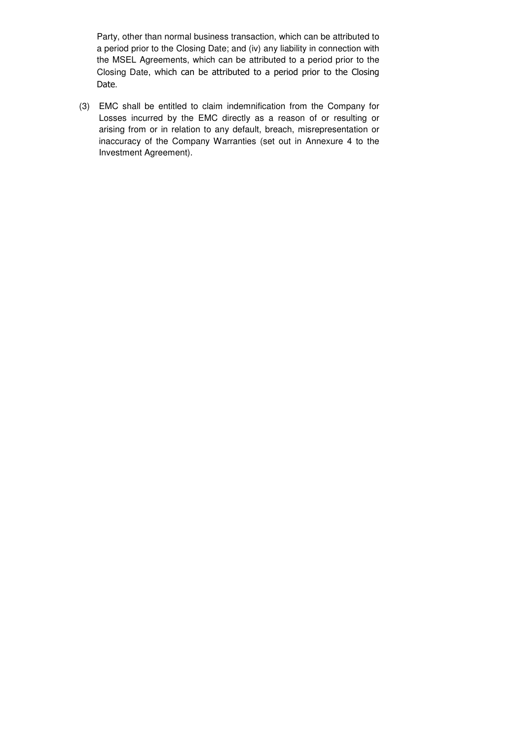Party, other than normal business transaction, which can be attributed to a period prior to the Closing Date; and (iv) any liability in connection with the MSEL Agreements, which can be attributed to a period prior to the Closing Date, which can be attributed to a period prior to the Closing Date.

(3) EMC shall be entitled to claim indemnification from the Company for Losses incurred by the EMC directly as a reason of or resulting or arising from or in relation to any default, breach, misrepresentation or inaccuracy of the Company Warranties (set out in Annexure 4 to the Investment Agreement).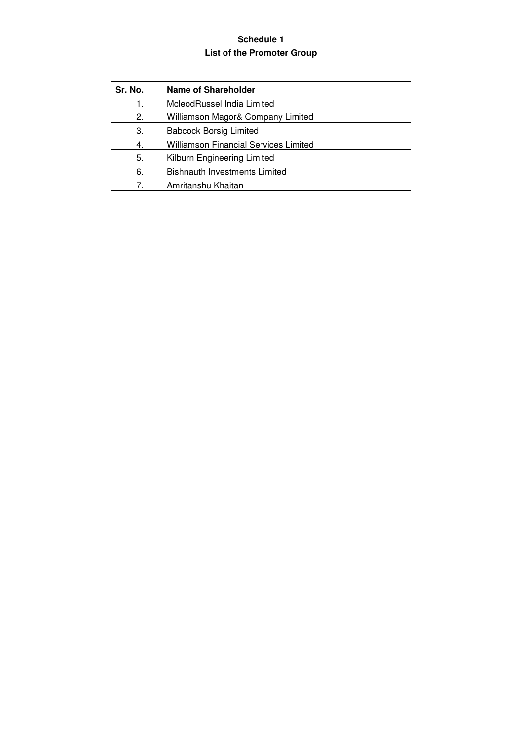# **Schedule 1 List of the Promoter Group**

| Sr. No.     | <b>Name of Shareholder</b>                   |
|-------------|----------------------------------------------|
| 1.          | McleodRussel India Limited                   |
| 2.          | Williamson Magor& Company Limited            |
| З.          | <b>Babcock Borsig Limited</b>                |
| 4.          | <b>Williamson Financial Services Limited</b> |
| 5.          | Kilburn Engineering Limited                  |
| 6.          | <b>Bishnauth Investments Limited</b>         |
| $7^{\circ}$ | Amritanshu Khaitan                           |